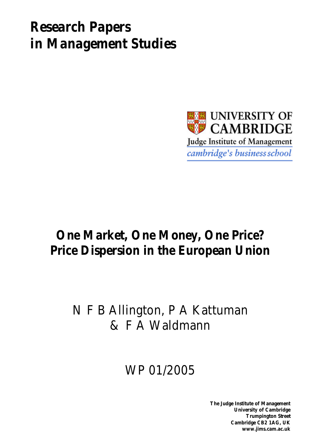# *Research Papers in Management Studies*



# **One Market, One Money, One Price? Price Dispersion in the European Union**

## N F B Allington, P A Kattuman & F A Waldmann

# WP 01/2005

**The Judge Institute of Management University of Cambridge Trumpington Street Cambridge CB2 1AG, UK www.jims.cam.ac.uk**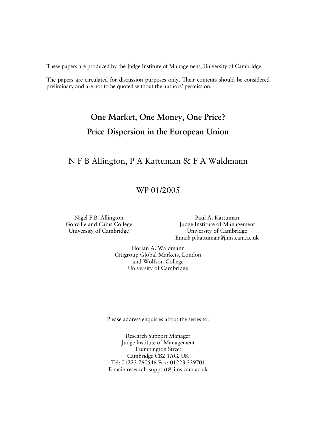These papers are produced by the Judge Institute of Management, University of Cambridge.

The papers are circulated for discussion purposes only. Their contents should be considered preliminary and are not to be quoted without the authors' permission.

## **One Market, One Money, One Price? Price Dispersion in the European Union**

## N F B Allington, P A Kattuman & F A Waldmann

### WP 01/2005

Nigel F.B. Allington Gonville and Caius College University of Cambridge

Paul A. Kattuman Judge Institute of Management University of Cambridge Email: p.kattuman@jims.cam.ac.uk

Florian A. Waldmann Citigroup Global Markets, London and Wolfson College University of Cambridge

Please address enquiries about the series to:

Research Support Manager Judge Institute of Management Trumpington Street Cambridge CB2 1AG, UK Tel: 01223 760546 Fax: 01223 339701 E-mail: research-support@jims.cam.ac.uk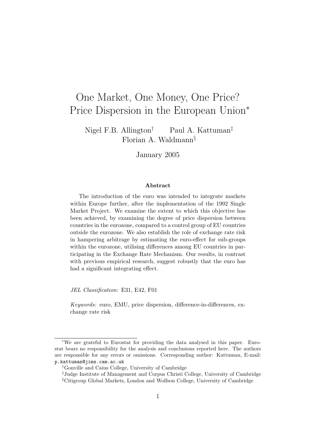## One Market, One Money, One Price? Price Dispersion in the European Union<sup>∗</sup>

Nigel F.B. Allington<sup>†</sup> Paul A. Kattuman<sup>‡</sup> Florian A. Waldmann§

January 2005

#### Abstract

The introduction of the euro was intended to integrate markets within Europe further, after the implementation of the 1992 Single Market Project. We examine the extent to which this objective has been achieved, by examining the degree of price dispersion between countries in the eurozone, compared to a control group of EU countries outside the eurozone. We also establish the role of exchange rate risk in hampering arbitrage by estimating the euro-effect for sub-groups within the eurozone, utilising differences among EU countries in participating in the Exchange Rate Mechanism. Our results, in contrast with previous empirical research, suggest robustly that the euro has had a significant integrating effect.

JEL Classification: E31, E42, F01

Keywords: euro, EMU, price dispersion, difference-in-differences, exchange rate risk

<sup>∗</sup>We are grateful to Eurostat for providing the data analysed in this paper. Eurostat bears no responsibility for the analysis and conclusions reported here. The authors are responsible for any errors or omissions. Corresponding author: Kattuman, E-mail: p.kattuman@jims.cam.ac.uk

<sup>†</sup>Gonville and Caius College, University of Cambridge

<sup>‡</sup>Judge Institute of Management and Corpus Christi College, University of Cambridge §Citigroup Global Markets, London and Wolfson College, University of Cambridge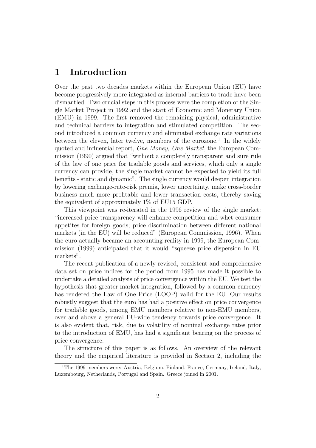## 1 Introduction

Over the past two decades markets within the European Union (EU) have become progressively more integrated as internal barriers to trade have been dismantled. Two crucial steps in this process were the completion of the Single Market Project in 1992 and the start of Economic and Monetary Union (EMU) in 1999. The first removed the remaining physical, administrative and technical barriers to integration and stimulated competition. The second introduced a common currency and eliminated exchange rate variations between the eleven, later twelve, members of the eurozone.<sup>1</sup> In the widely quoted and influential report, One Money, One Market, the European Commission (1990) argued that "without a completely transparent and sure rule of the law of one price for tradable goods and services, which only a single currency can provide, the single market cannot be expected to yield its full benefits - static and dynamic". The single currency would deepen integration by lowering exchange-rate-risk premia, lower uncertainty, make cross-border business much more profitable and lower transaction costs, thereby saving the equivalent of approximately 1% of EU15 GDP.

This viewpoint was re-iterated in the 1996 review of the single market: "increased price transparency will enhance competition and whet consumer appetites for foreign goods; price discrimination between different national markets (in the EU) will be reduced" (European Commission, 1996). When the euro actually became an accounting reality in 1999, the European Commission (1999) anticipated that it would "squeeze price dispersion in EU markets".

The recent publication of a newly revised, consistent and comprehensive data set on price indices for the period from 1995 has made it possible to undertake a detailed analysis of price convergence within the EU. We test the hypothesis that greater market integration, followed by a common currency has rendered the Law of One Price (LOOP) valid for the EU. Our results robustly suggest that the euro has had a positive effect on price convergence for tradable goods, among EMU members relative to non-EMU members, over and above a general EU-wide tendency towards price convergence. It is also evident that, risk, due to volatility of nominal exchange rates prior to the introduction of EMU, has had a significant bearing on the process of price convergence.

The structure of this paper is as follows. An overview of the relevant theory and the empirical literature is provided in Section 2, including the

<sup>&</sup>lt;sup>1</sup>The 1999 members were: Austria, Belgium, Finland, France, Germany, Ireland, Italy, Luxembourg, Netherlands, Portugal and Spain. Greece joined in 2001.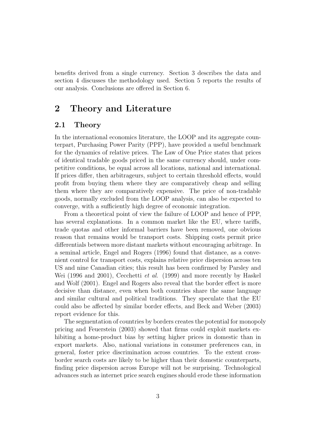benefits derived from a single currency. Section 3 describes the data and section 4 discusses the methodology used. Section 5 reports the results of our analysis. Conclusions are offered in Section 6.

## 2 Theory and Literature

#### 2.1 Theory

In the international economics literature, the LOOP and its aggregate counterpart, Purchasing Power Parity (PPP), have provided a useful benchmark for the dynamics of relative prices. The Law of One Price states that prices of identical tradable goods priced in the same currency should, under competitive conditions, be equal across all locations, national and international. If prices differ, then arbitrageurs, subject to certain threshold effects, would profit from buying them where they are comparatively cheap and selling them where they are comparatively expensive. The price of non-tradable goods, normally excluded from the LOOP analysis, can also be expected to converge, with a sufficiently high degree of economic integration.

From a theoretical point of view the failure of LOOP and hence of PPP, has several explanations. In a common market like the EU, where tariffs, trade quotas and other informal barriers have been removed, one obvious reason that remains would be transport costs. Shipping costs permit price differentials between more distant markets without encouraging arbitrage. In a seminal article, Engel and Rogers (1996) found that distance, as a convenient control for transport costs, explains relative price dispersion across ten US and nine Canadian cities; this result has been confirmed by Parsley and Wei (1996 and 2001), Cecchetti *et al.* (1999) and more recently by Haskel and Wolf (2001). Engel and Rogers also reveal that the border effect is more decisive than distance, even when both countries share the same language and similar cultural and political traditions. They speculate that the EU could also be affected by similar border effects, and Beck and Weber (2003) report evidence for this.

The segmentation of countries by borders creates the potential for monopoly pricing and Feuerstein (2003) showed that firms could exploit markets exhibiting a home-product bias by setting higher prices in domestic than in export markets. Also, national variations in consumer preferences can, in general, foster price discrimination across countries. To the extent crossborder search costs are likely to be higher than their domestic counterparts, finding price dispersion across Europe will not be surprising. Technological advances such as internet price search engines should erode these information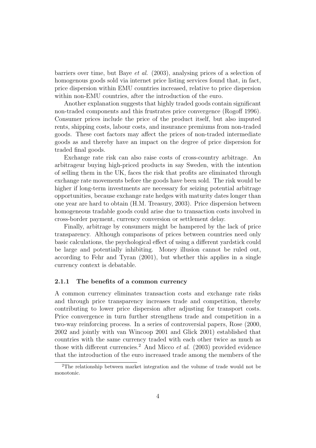barriers over time, but Baye et al. (2003), analysing prices of a selection of homogenous goods sold via internet price listing services found that, in fact, price dispersion within EMU countries increased, relative to price dispersion within non-EMU countries, after the introduction of the euro.

Another explanation suggests that highly traded goods contain significant non-traded components and this frustrates price convergence (Rogoff 1996). Consumer prices include the price of the product itself, but also imputed rents, shipping costs, labour costs, and insurance premiums from non-traded goods. These cost factors may affect the prices of non-traded intermediate goods as and thereby have an impact on the degree of price dispersion for traded final goods.

Exchange rate risk can also raise costs of cross-country arbitrage. An arbitrageur buying high-priced products in say Sweden, with the intention of selling them in the UK, faces the risk that profits are eliminated through exchange rate movements before the goods have been sold. The risk would be higher if long-term investments are necessary for seizing potential arbitrage opportunities, because exchange rate hedges with maturity dates longer than one year are hard to obtain (H.M. Treasury, 2003). Price dispersion between homogeneous tradable goods could arise due to transaction costs involved in cross-border payment, currency conversion or settlement delay.

Finally, arbitrage by consumers might be hampered by the lack of price transparency. Although comparisons of prices between countries need only basic calculations, the psychological effect of using a different yardstick could be large and potentially inhibiting. Money illusion cannot be ruled out, according to Fehr and Tyran (2001), but whether this applies in a single currency context is debatable.

#### 2.1.1 The benefits of a common currency

A common currency eliminates transaction costs and exchange rate risks and through price transparency increases trade and competition, thereby contributing to lower price dispersion after adjusting for transport costs. Price convergence in turn further strengthens trade and competition in a two-way reinforcing process. In a series of controversial papers, Rose (2000, 2002 and jointly with van Wincoop 2001 and Glick 2001) established that countries with the same currency traded with each other twice as much as those with different currencies.<sup>2</sup> And Micco *et al.* (2003) provided evidence that the introduction of the euro increased trade among the members of the

<sup>2</sup>The relationship between market integration and the volume of trade would not be monotonic.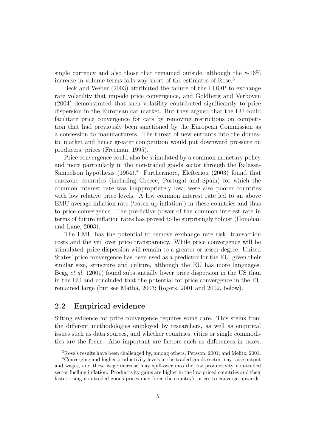single currency and also those that remained outside, although the 8-16% increase in volume terms falls way short of the estimates of Rose.<sup>3</sup>

Beck and Weber (2003) attributed the failure of the LOOP to exchange rate volatility that impede price convergence, and Goldberg and Verboven (2004) demonstrated that such volatility contributed significantly to price dispersion in the European car market. But they argued that the EU could facilitate price convergence for cars by removing restrictions on competition that had previously been sanctioned by the European Commission as a concession to manufacturers. The threat of new entrants into the domestic market and hence greater competition would put downward pressure on producers' prices (Freeman, 1995).

Price convergence could also be stimulated by a common monetary policy and more particularly in the non-traded goods sector through the Balassa-Samuelson hypothesis  $(1964)^4$  Furthermore, Elefteriou  $(2003)$  found that eurozone countries (including Greece, Portugal and Spain) for which the common interest rate was inappropriately low, were also poorer countries with low relative price levels. A low common interest rate led to an above EMU average inflation rate ('catch-up inflation') in these countries and thus to price convergence. The predictive power of the common interest rate in terms of future inflation rates has proved to be surprisingly robust (Honohan and Lane, 2003).

The EMU has the potential to remove exchange rate risk, transaction costs and the veil over price transparency. While price convergence will be stimulated, price dispersion will remain to a greater or lesser degree. United States' price convergence has been used as a predictor for the EU, given their similar size, structure and culture, although the EU has more languages. Begg *et al.* (2001) found substantially lower price dispersion in the US than in the EU and concluded that the potential for price convergence in the EU remained large (but see Mathä, 2003; Rogers, 2001 and 2002, below).

#### 2.2 Empirical evidence

Sifting evidence for price convergence requires some care. This stems from the different methodologies employed by researchers, as well as empirical issues such as data sources, and whether countries, cities or single commodities are the focus. Also important are factors such as differences in taxes,

<sup>3</sup>Rose's results have been challenged by, among others, Persson, 2001; and Melitz, 2001.

<sup>4</sup>Converging and higher productivity levels in the traded goods sector may raise output and wages, and these wage increase may spill-over into the low productivity non-traded sector fuelling inflation. Productivity gains are higher in the low-priced countries and their faster rising non-traded goods prices may force the country's prices to converge upwards.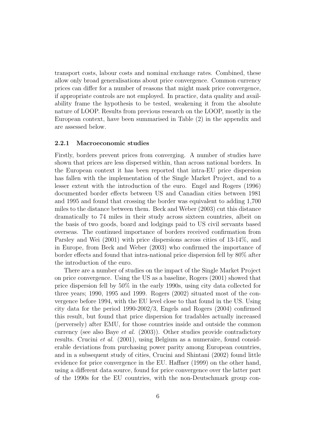transport costs, labour costs and nominal exchange rates. Combined, these allow only broad generalisations about price convergence. Common currency prices can differ for a number of reasons that might mask price convergence, if appropriate controls are not employed. In practice, data quality and availability frame the hypothesis to be tested, weakening it from the absolute nature of LOOP. Results from previous research on the LOOP, mostly in the European context, have been summarised in Table (2) in the appendix and are assessed below.

#### 2.2.1 Macroeconomic studies

Firstly, borders prevent prices from converging. A number of studies have shown that prices are less dispersed within, than across national borders. In the European context it has been reported that intra-EU price dispersion has fallen with the implementation of the Single Market Project, and to a lesser extent with the introduction of the euro. Engel and Rogers (1996) documented border effects between US and Canadian cities between 1981 and 1995 and found that crossing the border was equivalent to adding 1,700 miles to the distance between them. Beck and Weber (2003) cut this distance dramatically to 74 miles in their study across sixteen countries, albeit on the basis of two goods, board and lodgings paid to US civil servants based overseas. The continued importance of borders received confirmation from Parsley and Wei (2001) with price dispersions across cities of 13-14%, and in Europe, from Beck and Weber (2003) who confirmed the importance of border effects and found that intra-national price dispersion fell by 80% after the introduction of the euro.

There are a number of studies on the impact of the Single Market Project on price convergence. Using the US as a baseline, Rogers (2001) showed that price dispersion fell by 50% in the early 1990s, using city data collected for three years; 1990, 1995 and 1999. Rogers (2002) situated most of the convergence before 1994, with the EU level close to that found in the US. Using city data for the period 1990-2002/3, Engels and Rogers (2004) confirmed this result, but found that price dispersion for tradables actually increased (perversely) after EMU, for those countries inside and outside the common currency (see also Baye et al. (2003)). Other studies provide contradictory results. Crucini et al. (2001), using Belgium as a numeraire, found considerable deviations from purchasing power parity among European countries, and in a subsequent study of cities, Crucini and Shintani (2002) found little evidence for price convergence in the EU. Haffner (1999) on the other hand, using a different data source, found for price convergence over the latter part of the 1990s for the EU countries, with the non-Deutschmark group con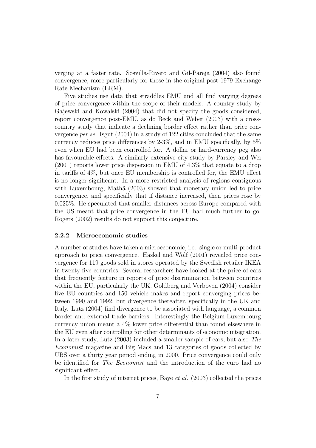verging at a faster rate. Sosvilla-Rivero and Gil-Pareja (2004) also found convergence, more particularly for those in the original post 1979 Exchange Rate Mechanism (ERM).

Five studies use data that straddles EMU and all find varying degrees of price convergence within the scope of their models. A country study by Gajewski and Kowalski (2004) that did not specify the goods considered, report convergence post-EMU, as do Beck and Weber (2003) with a crosscountry study that indicate a declining border effect rather than price convergence per se. Isgut (2004) in a study of 122 cities concluded that the same currency reduces price differences by 2-3%, and in EMU specifically, by 5% even when EU had been controlled for. A dollar or hard-currency peg also has favourable effects. A similarly extensive city study by Parsley and Wei (2001) reports lower price dispersion in EMU of 4.3% that equate to a drop in tariffs of 4%, but once EU membership is controlled for, the EMU effect is no longer significant. In a more restricted analysis of regions contiguous with Luxembourg, Mathä (2003) showed that monetary union led to price convergence, and specifically that if distance increased, then prices rose by 0.025%. He speculated that smaller distances across Europe compared with the US meant that price convergence in the EU had much further to go. Rogers (2002) results do not support this conjecture.

#### 2.2.2 Microeconomic studies

A number of studies have taken a microeconomic, i.e., single or multi-product approach to price convergence. Haskel and Wolf (2001) revealed price convergence for 119 goods sold in stores operated by the Swedish retailer IKEA in twenty-five countries. Several researchers have looked at the price of cars that frequently feature in reports of price discrimination between countries within the EU, particularly the UK. Goldberg and Verboven (2004) consider five EU countries and 150 vehicle makes and report converging prices between 1990 and 1992, but divergence thereafter, specifically in the UK and Italy. Lutz (2004) find divergence to be associated with language, a common border and external trade barriers. Interestingly the Belgium-Luxembourg currency union meant a 4% lower price differential than found elsewhere in the EU even after controlling for other determinants of economic integration. In a later study, Lutz (2003) included a smaller sample of cars, but also The Economist magazine and Big Macs and 13 categories of goods collected by UBS over a thirty year period ending in 2000. Price convergence could only be identified for The Economist and the introduction of the euro had no significant effect.

In the first study of internet prices, Baye et al. (2003) collected the prices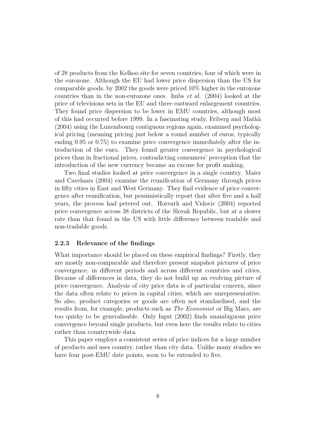of 28 products from the Kelkoo site for seven countries, four of which were in the eurozone. Although the EU had lower price dispersion than the US for comparable goods, by 2002 the goods were priced 10% higher in the eurozone countries than in the non-eurozone ones. Imbs et al. (2004) looked at the price of televisions sets in the EU and three eastward enlargement countries. They found price dispersion to be lower in EMU countries, although most of this had occurred before 1999. In a fascinating study, Friberg and Mathä (2004) using the Luxembourg contiguous regions again, examined psychological pricing (meaning pricing just below a round number of euros, typically ending 0.95 or 0.75) to examine price convergence immediately after the introduction of the euro. They found greater convergence in psychological prices than in fractional prices, contradicting consumers' perception that the introduction of the new currency became an excuse for profit making.

Two final studies looked at price convergence in a single country. Maier and Cavelaars (2004) examine the reunification of Germany through prices in fifty cities in East and West Germany. They find evidence of price convergence after reunification, but pessimistically report that after five and a half years, the process had petered out. Horvath and Vidovic (2004) reported price convergence across 38 districts of the Slovak Republic, but at a slower rate than that found in the US with little difference between tradable and non-tradable goods.

#### 2.2.3 Relevance of the findings

What importance should be placed on these empirical findings? Firstly, they are mostly non-comparable and therefore present snapshot pictures of price convergence, in different periods and across different countries and cities. Because of differences in data, they do not build up an evolving picture of price convergence. Analysis of city price data is of particular concern, since the data often relate to prices in capital cities, which are unrepresentative. So also, product categories or goods are often not standardised, and the results from, for example, products such as The Economist or Big Macs, are too quirky to be generalisable. Only Isgut (2002) finds unambiguous price convergence beyond single products, but even here the results relate to cities rather than countrywide data.

This paper employs a consistent series of price indices for a large number of products and uses country, rather than city data. Unlike many studies we have four post-EMU date points, soon to be extended to five.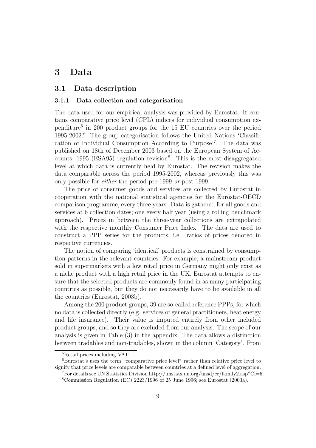### 3 Data

#### 3.1 Data description

#### 3.1.1 Data collection and categorisation

The data used for our empirical analysis was provided by Eurostat. It contains comparative price level (CPL) indices for individual consumption expenditure<sup>5</sup> in 200 product groups for the 15 EU countries over the period 1995-2002.<sup>6</sup> The group categorisation follows the United Nations 'Classification of Individual Consumption According to Purpose'<sup>7</sup> . The data was published on 18th of December 2003 based on the European System of Accounts, 1995 (ESA95) regulation revision<sup>8</sup>. This is the most disaggregated level at which data is currently held by Eurostat. The revision makes the data comparable across the period 1995-2002, whereas previously this was only possible for either the period pre-1999 or post-1999.

The price of consumer goods and services are collected by Eurostat in cooperation with the national statistical agencies for the Eurostat-OECD comparison programme, every three years. Data is gathered for all goods and services at 6 collection dates; one every half year (using a rolling benchmark approach). Prices in between the three-year collections are extrapolated with the respective monthly Consumer Price Index. The data are used to construct a PPP series for the products, i.e. ratios of prices denoted in respective currencies.

The notion of comparing 'identical' products is constrained by consumption patterns in the relevant countries. For example, a mainstream product sold in supermarkets with a low retail price in Germany might only exist as a niche product with a high retail price in the UK. Eurostat attempts to ensure that the selected products are commonly found in as many participating countries as possible, but they do not necessarily have to be available in all the countries (Eurostat, 2003b).

Among the 200 product groups, 39 are so-called reference PPPs, for which no data is collected directly (e.g. services of general practitioners, heat energy and life insurance). Their value is imputed entirely from other included product groups, and so they are excluded from our analysis. The scope of our analysis is given in Table (3) in the appendix. The data allows a distinction between tradables and non-tradables, shown in the column 'Category'. From

<sup>5</sup>Retail prices including VAT.

<sup>6</sup>Eurostat's uses the term "comparative price level" rather than relative price level to signify that price levels are comparable between countries at a defined level of aggregation.

 $7$ For details see UN Statistics Division http://unstats.un.org/unsd/cr/family2.asp?Cl=5.

<sup>8</sup>Commission Regulation (EC) 2223/1996 of 25 June 1996; see Eurostat (2003a).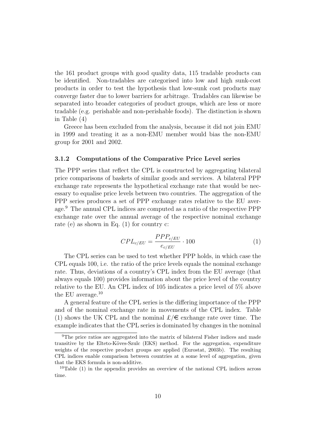the 161 product groups with good quality data, 115 tradable products can be identified. Non-tradables are categorised into low and high sunk-cost products in order to test the hypothesis that low-sunk cost products may converge faster due to lower barriers for arbitrage. Tradables can likewise be separated into broader categories of product groups, which are less or more tradable (e.g. perishable and non-perishable foods). The distinction is shown in Table (4)

Greece has been excluded from the analysis, because it did not join EMU in 1999 and treating it as a non-EMU member would bias the non-EMU group for 2001 and 2002.

#### 3.1.2 Computations of the Comparative Price Level series

The PPP series that reflect the CPL is constructed by aggregating bilateral price comparisons of baskets of similar goods and services. A bilateral PPP exchange rate represents the hypothetical exchange rate that would be necessary to equalise price levels between two countries. The aggregation of the PPP series produces a set of PPP exchange rates relative to the EU average.<sup>9</sup> The annual CPL indices are computed as a ratio of the respective PPP exchange rate over the annual average of the respective nominal exchange rate (e) as shown in Eq. (1) for country c:

$$
CPL_{c/EU} = \frac{PPP_{c/EU}}{e_{c/EU}} \cdot 100\tag{1}
$$

The CPL series can be used to test whether PPP holds, in which case the CPL equals 100, i.e. the ratio of the price levels equals the nominal exchange rate. Thus, deviations of a country's CPL index from the EU average (that always equals 100) provides information about the price level of the country relative to the EU. An CPL index of 105 indicates a price level of 5% above the EU average.<sup>10</sup>

A general feature of the CPL series is the differing importance of the PPP and of the nominal exchange rate in movements of the CPL index. Table (1) shows the UK CPL and the nominal  $\mathcal{L}/\epsilon$  exchange rate over time. The example indicates that the CPL series is dominated by changes in the nominal

<sup>9</sup>The price ratios are aggregated into the matrix of bilateral Fisher indices and made transitive by the Elteto-Köves-Szulc (EKS) method. For the aggregation, expenditure weights of the respective product groups are applied (Eurostat, 2003b). The resulting CPL indices enable comparison between countries at a some level of aggregation, given that the EKS formula is non-additive.

 $10$ Table (1) in the appendix provides an overview of the national CPL indices across time.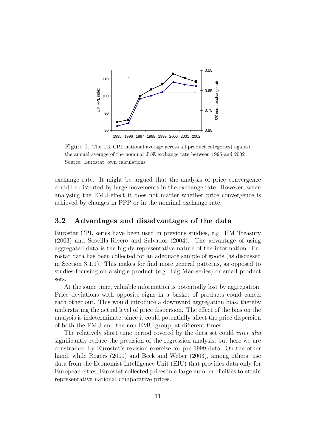

Figure 1: The UK CPL national average across all product categories) against the annual average of the nominal  $\pounds/\pmb{\epsilon}$  exchange rate between 1995 and 2002 Source: Eurostat, own calculations

exchange rate. It might be argued that the analysis of price convergence could be distorted by large movements in the exchange rate. However, when analysing the EMU-effect it does not matter whether price convergence is achieved by changes in PPP or in the nominal exchange rate.

#### 3.2 Advantages and disadvantages of the data

Eurostat CPL series have been used in previous studies, e.g. HM Treasury (2003) and Sosvilla-Rivero and Salvador (2004). The advantage of using aggregated data is the highly representative nature of the information. Eurostat data has been collected for an adequate sample of goods (as discussed in Section 3.1.1). This makes for find more general patterns, as opposed to studies focusing on a single product (e.g. Big Mac series) or small product sets.

At the same time, valuable information is potentially lost by aggregation. Price deviations with opposite signs in a basket of products could cancel each other out. This would introduce a downward aggregation bias, thereby understating the actual level of price dispersion. The effect of the bias on the analysis is indeterminate, since it could potentially affect the price dispersion of both the EMU and the non-EMU group, at different times.

The relatively short time period covered by the data set could *inter alia* significantly reduce the precision of the regression analysis, but here we are constrained by Eurostat's revision exercise for pre-1999 data. On the other hand, while Rogers (2001) and Beck and Weber (2003), among others, use data from the Economist Intelligence Unit (EIU) that provides data only for European cities, Eurostat collected prices in a large number of cities to attain representative national comparative prices.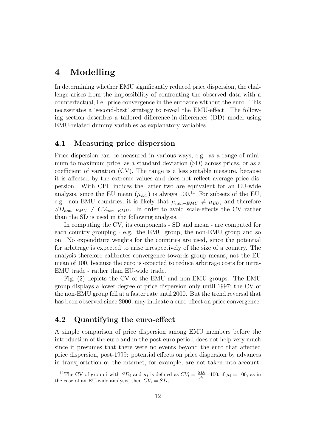## 4 Modelling

In determining whether EMU significantly reduced price dispersion, the challenge arises from the impossibility of confronting the observed data with a counterfactual, i.e. price convergence in the eurozone without the euro. This necessitates a 'second-best' strategy to reveal the EMU-effect. The following section describes a tailored difference-in-differences (DD) model using EMU-related dummy variables as explanatory variables.

#### 4.1 Measuring price dispersion

Price dispersion can be measured in various ways, e.g. as a range of minimum to maximum price, as a standard deviation (SD) across prices, or as a coefficient of variation (CV). The range is a less suitable measure, because it is affected by the extreme values and does not reflect average price dispersion. With CPL indices the latter two are equivalent for an EU-wide analysis, since the EU mean  $(\mu_{EU})$  is always 100.<sup>11</sup> For subsets of the EU, e.g. non-EMU countries, it is likely that  $\mu_{non-EMU} \neq \mu_{EU}$ , and therefore  $SD_{non-EMU} \neq CV_{non-EMU}$ . In order to avoid scale-effects the CV rather than the SD is used in the following analysis.

In computing the CV, its components - SD and mean - are computed for each country grouping - e.g. the EMU group, the non-EMU group and so on. No expenditure weights for the countries are used, since the potential for arbitrage is expected to arise irrespectively of the size of a country. The analysis therefore calibrates convergence towards group means, not the EU mean of 100, because the euro is expected to reduce arbitrage costs for intra-EMU trade - rather than EU-wide trade.

Fig. (2) depicts the CV of the EMU and non-EMU groups. The EMU group displays a lower degree of price dispersion only until 1997; the CV of the non-EMU group fell at a faster rate until 2000. But the trend reversal that has been observed since 2000, may indicate a euro-effect on price convergence.

#### 4.2 Quantifying the euro-effect

A simple comparison of price dispersion among EMU members before the introduction of the euro and in the post-euro period does not help very much since it presumes that there were no events beyond the euro that affected price dispersion, post-1999: potential effects on price dispersion by advances in transportation or the internet, for example, are not taken into account.

<sup>&</sup>lt;sup>11</sup>The CV of group i with  $SD_i$  and  $\mu_i$  is defined as  $CV_i = \frac{SD_i}{\mu_i} \cdot 100$ ; if  $\mu_i = 100$ , as in the case of an EU-wide analysis, then  $CV_i = SD_i$ .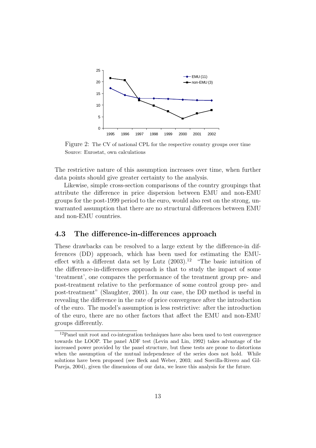

Figure 2: The CV of national CPL for the respective country groups over time Source: Eurostat, own calculations

The restrictive nature of this assumption increases over time, when further data points should give greater certainty to the analysis.

Likewise, simple cross-section comparisons of the country groupings that attribute the difference in price dispersion between EMU and non-EMU groups for the post-1999 period to the euro, would also rest on the strong, unwarranted assumption that there are no structural differences between EMU and non-EMU countries.

#### 4.3 The difference-in-differences approach

These drawbacks can be resolved to a large extent by the difference-in differences (DD) approach, which has been used for estimating the EMUeffect with a different data set by Lutz  $(2003).^{12}$  "The basic intuition of the difference-in-differences approach is that to study the impact of some 'treatment', one compares the performance of the treatment group pre- and post-treatment relative to the performance of some control group pre- and post-treatment" (Slaughter, 2001). In our case, the DD method is useful in revealing the difference in the rate of price convergence after the introduction of the euro. The model's assumption is less restrictive: after the introduction of the euro, there are no other factors that affect the EMU and non-EMU groups differently.

<sup>12</sup>Panel unit root and co-integration techniques have also been used to test convergence towards the LOOP. The panel ADF test (Levin and Lin, 1992) takes advantage of the increased power provided by the panel structure, but these tests are prone to distortions when the assumption of the mutual independence of the series does not hold. While solutions have been proposed (see Beck and Weber, 2003; and Sosvilla-Rivero and Gil-Pareja, 2004), given the dimensions of our data, we leave this analysis for the future.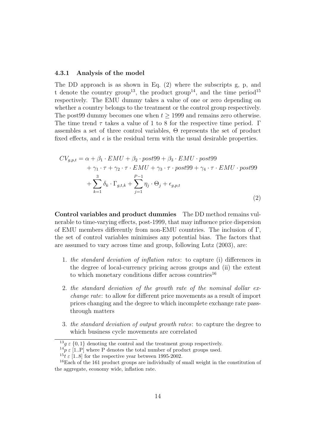#### 4.3.1 Analysis of the model

The DD approach is as shown in Eq. (2) where the subscripts g, p, and t denote the country group<sup>13</sup>, the product group<sup>14</sup>, and the time period<sup>15</sup> respectively. The EMU dummy takes a value of one or zero depending on whether a country belongs to the treatment or the control group respectively. The post99 dummy becomes one when  $t \geq 1999$  and remains zero otherwise. The time trend  $\tau$  takes a value of 1 to 8 for the respective time period. Γ assembles a set of three control variables, Θ represents the set of product fixed effects, and  $\epsilon$  is the residual term with the usual desirable properties.

$$
CV_{g,p,t} = \alpha + \beta_1 \cdot EMU + \beta_2 \cdot post99 + \beta_3 \cdot EMU \cdot post99
$$
  
+  $\gamma_1 \cdot \tau + \gamma_2 \cdot \tau \cdot EMU + \gamma_3 \cdot \tau \cdot post99 + \gamma_4 \cdot \tau \cdot EMU \cdot post99$   
+  $\sum_{k=1}^{3} \delta_k \cdot \Gamma_{g,t,k} + \sum_{j=1}^{P-1} \eta_j \cdot \Theta_j + \epsilon_{g,p,t}$  (2)

Control variables and product dummies The DD method remains vulnerable to time-varying effects, post-1999, that may influence price dispersion of EMU members differently from non-EMU countries. The inclusion of Γ, the set of control variables minimises any potential bias. The factors that are assumed to vary across time and group, following Lutz (2003), are:

- 1. the standard deviation of inflation rates: to capture (i) differences in the degree of local-currency pricing across groups and (ii) the extent to which monetary conditions differ across countries<sup>16</sup>
- 2. the standard deviation of the growth rate of the nominal dollar exchange rate: to allow for different price movements as a result of import prices changing and the degree to which incomplete exchange rate passthrough matters
- 3. the standard deviation of output growth rates: to capture the degree to which business cycle movements are correlated

 $13g \in \{0, 1\}$  denoting the control and the treatment group respectively.

 $^{14}p \in [1..P]$  where P denotes the total number of product groups used.

<sup>&</sup>lt;sup>15</sup>t  $\varepsilon$  [1..8] for the respective year between 1995-2002.

<sup>&</sup>lt;sup>16</sup>Each of the 161 product groups are individually of small weight in the constitution of the aggregate, economy wide, inflation rate.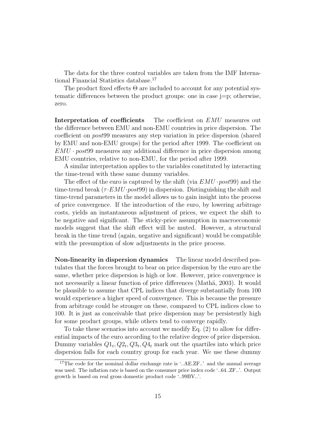The data for the three control variables are taken from the IMF International Financial Statistics database.<sup>17</sup>

The product fixed effects  $\Theta$  are included to account for any potential systematic differences between the product groups: one in case j=p; otherwise, zero.

Interpretation of coefficients The coefficient on EMU measures out the difference between EMU and non-EMU countries in price dispersion. The coefficient on post99 measures any step variation in price dispersion (shared by EMU and non-EMU groups) for the period after 1999. The coefficient on  $EMU \cdot post99$  measures any additional difference in price dispersion among EMU countries, relative to non-EMU, for the period after 1999.

A similar interpretation applies to the variables constituted by interacting the time-trend with these same dummy variables.

The effect of the euro is captured by the shift (via  $EMU$  ·  $post99$ ) and the time-trend break  $(\tau \cdot EMU \cdot post99)$  in dispersion. Distinguishing the shift and time-trend parameters in the model allows us to gain insight into the process of price convergence. If the introduction of the euro, by lowering arbitrage costs, yields an instantaneous adjustment of prices, we expect the shift to be negative and significant. The sticky-price assumption in macroeconomic models suggest that the shift effect will be muted. However, a structural break in the time trend (again, negative and significant) would be compatible with the presumption of slow adjustments in the price process.

Non-linearity in dispersion dynamics The linear model described postulates that the forces brought to bear on price dispersion by the euro are the same, whether price dispersion is high or low. However, price convergence is not necessarily a linear function of price differences (Mathä, 2003). It would be plausible to assume that CPL indices that diverge substantially from 100 would experience a higher speed of convergence. This is because the pressure from arbitrage could be stronger on these, compared to CPL indices close to 100. It is just as conceivable that price dispersion may be persistently high for some product groups, while others tend to converge rapidly.

To take these scenarios into account we modify Eq. (2) to allow for differential impacts of the euro according to the relative degree of price dispersion. Dummy variables  $Q_1$ ,  $Q_2$ ,  $Q_3$ ,  $Q_4$  mark out the quartiles into which price dispersion falls for each country group for each year. We use these dummy

<sup>&</sup>lt;sup>17</sup>The code for the nominal dollar exchange rate is '..AE.ZF..' and the annual average was used. The inflation rate is based on the consumer price index code '..64..ZF..'. Output growth is based on real gross domestic product code '..99BV..'.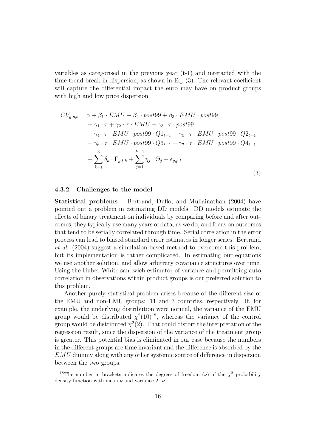variables as categorised in the previous year (t-1) and interacted with the time-trend break in dispersion, as shown in Eq. (3). The relevant coefficient will capture the differential impact the euro may have on product groups with high and low price dispersion.

$$
CV_{g,p,t} = \alpha + \beta_1 \cdot EMU + \beta_2 \cdot post99 + \beta_3 \cdot EMU \cdot post99
$$
  
+  $\gamma_1 \cdot \tau + \gamma_2 \cdot \tau \cdot EMU + \gamma_3 \cdot \tau \cdot post99$   
+  $\gamma_4 \cdot \tau \cdot EMU \cdot post99 \cdot Q1_{t-1} + \gamma_5 \cdot \tau \cdot EMU \cdot post99 \cdot Q2_{t-1}$   
+  $\gamma_6 \cdot \tau \cdot EMU \cdot post99 \cdot Q3_{t-1} + \gamma_7 \cdot \tau \cdot EMU \cdot post99 \cdot Q4_{t-1}$   
+ 
$$
\sum_{k=1}^{3} \delta_k \cdot \Gamma_{g,t,k} + \sum_{j=1}^{P-1} \eta_j \cdot \Theta_j + \epsilon_{g,p,t}
$$
(3)

#### 4.3.2 Challenges to the model

Statistical problems Bertrand, Duflo, and Mullainathan (2004) have pointed out a problem in estimating DD models. DD models estimate the effects of binary treatment on individuals by comparing before and after outcomes; they typically use many years of data, as we do, and focus on outcomes that tend to be serially correlated through time. Serial correlation in the error process can lead to biased standard error estimates in longer series. Bertrand et al. (2004) suggest a simulation-based method to overcome this problem, but its implementation is rather complicated. In estimating our equations we use another solution, and allow arbitrary covariance structures over time. Using the Huber-White sandwich estimator of variance and permitting auto correlation in observations within product groups is our preferred solution to this problem.

Another purely statistical problem arises because of the different size of the EMU and non-EMU groups: 11 and 3 countries, respectively. If, for example, the underlying distribution were normal, the variance of the EMU group would be distributed  $\chi^2(10)^{18}$ , whereas the variance of the control group would be distributed  $\chi^2(2)$ . That could distort the interpretation of the regression result, since the dispersion of the variance of the treatment group is greater. This potential bias is eliminated in our case because the numbers in the different groups are time invariant and the difference is absorbed by the EMU dummy along with any other systemic source of difference in dispersion between the two groups.

<sup>&</sup>lt;sup>18</sup>The number in brackets indicates the degrees of freedom ( $\nu$ ) of the  $\chi^2$  probability density function with mean  $\nu$  and variance  $2 \cdot \nu$ .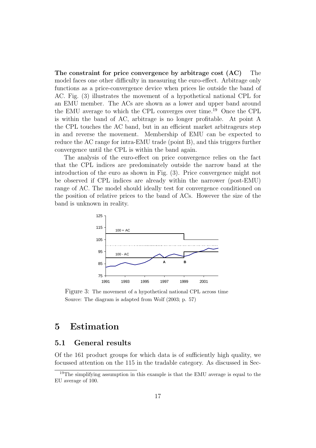The constraint for price convergence by arbitrage cost (AC) The model faces one other difficulty in measuring the euro-effect. Arbitrage only functions as a price-convergence device when prices lie outside the band of AC. Fig. (3) illustrates the movement of a hypothetical national CPL for an EMU member. The ACs are shown as a lower and upper band around the EMU average to which the CPL converges over time.<sup>19</sup> Once the CPL is within the band of AC, arbitrage is no longer profitable. At point A the CPL touches the AC band, but in an efficient market arbitrageurs step in and reverse the movement. Membership of EMU can be expected to reduce the AC range for intra-EMU trade (point B), and this triggers further convergence until the CPL is within the band again.

The analysis of the euro-effect on price convergence relies on the fact that the CPL indices are predominately outside the narrow band at the introduction of the euro as shown in Fig. (3). Price convergence might not be observed if CPL indices are already within the narrower (post-EMU) range of AC. The model should ideally test for convergence conditioned on the position of relative prices to the band of ACs. However the size of the band is unknown in reality.



Figure 3: The movement of a hypothetical national CPL across time Source: The diagram is adapted from Wolf (2003; p. 57)

### 5 Estimation

#### 5.1 General results

Of the 161 product groups for which data is of sufficiently high quality, we focussed attention on the 115 in the tradable category. As discussed in Sec-

<sup>19</sup>The simplifying assumption in this example is that the EMU average is equal to the EU average of 100.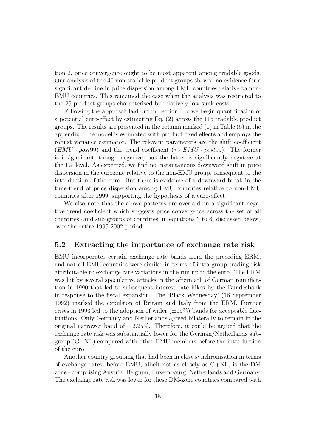tion 2, price convergence ought to be most apparent among tradable goods. Our analysis of the 46 non-tradable product groups showed no evidence for a significant decline in price dispersion among EMU countries relative to non-EMU countries. This remained the case when the analysis was restricted to the 29 product groups characterised by relatively low sunk costs.

Following the approach laid out in Section 4.3, we begin quantification of a potential euro-effect by estimating Eq. (2) across the 115 tradable product groups. The results are presented in the column marked (1) in Table (5) in the appendix. The model is estimated with product fixed effects and employs the robust variance estimator. The relevant parameters are the shift coefficient  $(EMU \cdot post99)$  and the trend coefficient  $(\tau \cdot EMU \cdot post99)$ . The former is insignificant, though negative, but the latter is significantly negative at the 1% level. As expected, we find no instantaneous downward shift in price dispersion in the eurozone relative to the non-EMU group, consequent to the introduction of the euro. But there is evidence of a downward break in the time-trend of price dispersion among EMU countries relative to non-EMU countries after 1999, supporting the hypothesis of a euro-effect.

We also note that the above patterns are overlaid on a significant negative trend coefficient which suggests price convergence across the set of all countries (and sub-groups of countries, in equations 3 to 6, discussed below) over the entire 1995-2002 period.

#### 5.2 Extracting the importance of exchange rate risk

EMU incorporates certain exchange rate bands from the preceding ERM, and not all EMU countries were similar in terms of intra-group trading risk attributable to exchange rate variations in the run up to the euro. The ERM was hit by several speculative attacks in the aftermath of German reunification in 1990 that led to subsequent interest rate hikes by the Bundesbank in response to the fiscal expansion. The 'Black Wednesday' (16 September 1992) marked the expulsion of Britain and Italy from the ERM. Further crises in 1993 led to the adoption of wider  $(\pm 15\%)$  bands for acceptable fluctuations. Only Germany and Netherlands agreed bilaterally to remain in the original narrower band of  $\pm 2.25\%$ . Therefore, it could be argued that the exchange rate risk was substantially lower for the German/Netherlands sub- $\gamma$  group  $(G+NL)$  compared with other EMU members before the introduction of the euro.

Another country grouping that had been in close synchronisation in terms of exchange rates, before EMU, albeit not as closely as G+NL, is the DM zone - comprising Austria, Belgium, Luxembourg, Netherlands and Germany. The exchange rate risk was lower for these DM-zone countries compared with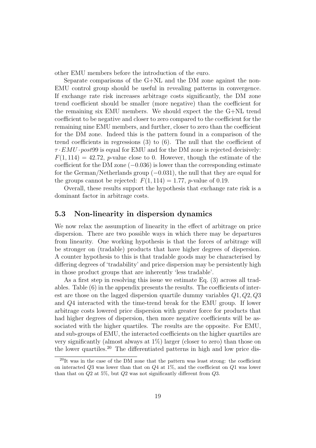other EMU members before the introduction of the euro.

Separate comparisons of the G+NL and the DM zone against the non-EMU control group should be useful in revealing patterns in convergence. If exchange rate risk increases arbitrage costs significantly, the DM zone trend coefficient should be smaller (more negative) than the coefficient for the remaining six EMU members. We should expect the the G+NL trend coefficient to be negative and closer to zero compared to the coefficient for the remaining nine EMU members, and further, closer to zero than the coefficient for the DM zone. Indeed this is the pattern found in a comparison of the trend coefficients in regressions (3) to (6). The null that the coefficient of  $\tau \cdot EMU \cdot post99$  is equal for EMU and for the DM zone is rejected decisively:  $F(1, 114) = 42.72$ , *p*-value close to 0. However, though the estimate of the coefficient for the DM zone  $(-0.036)$  is lower than the corresponding estimate for the German/Netherlands group  $(-0.031)$ , the null that they are equal for the groups cannot be rejected:  $F(1, 114) = 1.77$ , *p*-value of 0.19.

Overall, these results support the hypothesis that exchange rate risk is a dominant factor in arbitrage costs.

#### 5.3 Non-linearity in dispersion dynamics

We now relax the assumption of linearity in the effect of arbitrage on price dispersion. There are two possible ways in which there may be departures from linearity. One working hypothesis is that the forces of arbitrage will be stronger on (tradable) products that have higher degrees of dispersion. A counter hypothesis to this is that tradable goods may be characterised by differing degrees of 'tradability' and price dispersion may be persistently high in those product groups that are inherently 'less tradable'.

As a first step in resolving this issue we estimate Eq. (3) across all tradables. Table (6) in the appendix presents the results. The coefficients of interest are those on the lagged dispersion quartile dummy variables  $Q_1, Q_2, Q_3$ and Q4 interacted with the time-trend break for the EMU group. If lower arbitrage costs lowered price dispersion with greater force for products that had higher degrees of dispersion, then more negative coefficients will be associated with the higher quartiles. The results are the opposite. For EMU, and sub-groups of EMU, the interacted coefficients on the higher quartiles are very significantly (almost always at 1%) larger (closer to zero) than those on the lower quartiles.<sup>20</sup> The differentiated patterns in high and low price dis-

 $^{20}$ It was in the case of the DM zone that the pattern was least strong: the coefficient on interacted  $Q3$  was lower than that on  $Q4$  at 1%, and the coefficient on  $Q1$  was lower than that on  $Q2$  at 5%, but  $Q2$  was not significantly different from  $Q3$ .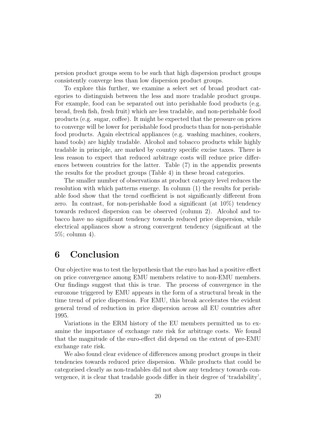persion product groups seem to be such that high dispersion product groups consistently converge less than low dispersion product groups.

To explore this further, we examine a select set of broad product categories to distinguish between the less and more tradable product groups. For example, food can be separated out into perishable food products (e.g. bread, fresh fish, fresh fruit) which are less tradable, and non-perishable food products (e.g. sugar, coffee). It might be expected that the pressure on prices to converge will be lower for perishable food products than for non-perishable food products. Again electrical appliances (e.g. washing machines, cookers, hand tools) are highly tradable. Alcohol and tobacco products while highly tradable in principle, are marked by country specific excise taxes. There is less reason to expect that reduced arbitrage costs will reduce price differences between countries for the latter. Table (7) in the appendix presents the results for the product groups (Table 4) in these broad categories.

The smaller number of observations at product category level reduces the resolution with which patterns emerge. In column (1) the results for perishable food show that the trend coefficient is not significantly different from zero. In contrast, for non-perishable food a significant (at 10%) tendency towards reduced dispersion can be observed (column 2). Alcohol and tobacco have no significant tendency towards reduced price dispersion, while electrical appliances show a strong convergent tendency (significant at the 5%; column 4).

## 6 Conclusion

Our objective was to test the hypothesis that the euro has had a positive effect on price convergence among EMU members relative to non-EMU members. Our findings suggest that this is true. The process of convergence in the eurozone triggered by EMU appears in the form of a structural break in the time trend of price dispersion. For EMU, this break accelerates the evident general trend of reduction in price dispersion across all EU countries after 1995.

Variations in the ERM history of the EU members permitted us to examine the importance of exchange rate risk for arbitrage costs. We found that the magnitude of the euro-effect did depend on the extent of pre-EMU exchange rate risk.

We also found clear evidence of differences among product groups in their tendencies towards reduced price dispersion. While products that could be categorised clearly as non-tradables did not show any tendency towards convergence, it is clear that tradable goods differ in their degree of 'tradability',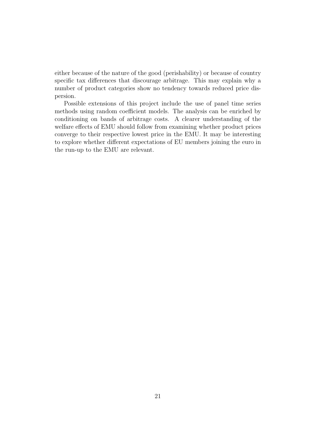either because of the nature of the good (perishability) or because of country specific tax differences that discourage arbitrage. This may explain why a number of product categories show no tendency towards reduced price dispersion.

Possible extensions of this project include the use of panel time series methods using random coefficient models. The analysis can be enriched by conditioning on bands of arbitrage costs. A clearer understanding of the welfare effects of EMU should follow from examining whether product prices converge to their respective lowest price in the EMU. It may be interesting to explore whether different expectations of EU members joining the euro in the run-up to the EMU are relevant.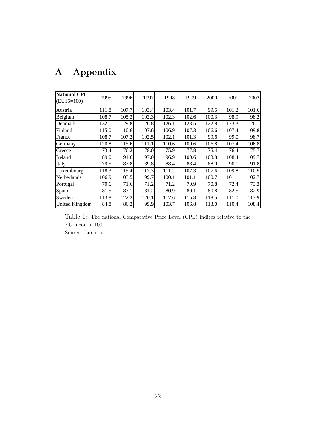| Appendix |
|----------|
|          |

| <b>National CPL</b><br>$(EU15=100)$ | 1995  | 1996  | 1997  | 1998  | 1999  | 2000  | 2001  | 2002  |
|-------------------------------------|-------|-------|-------|-------|-------|-------|-------|-------|
| Austria                             | 111.8 | 107.7 | 103.4 | 103.4 | 101.7 | 99.5  | 101.2 | 101.6 |
| Belgium                             | 108.7 | 105.3 | 102.3 | 102.3 | 102.6 | 100.3 | 98.9  | 98.2  |
| Denmark                             | 132.1 | 129.8 | 126.8 | 126.1 | 123.5 | 122.8 | 123.3 | 126.1 |
| Finland                             | 115.0 | 110.6 | 107.6 | 106.9 | 107.3 | 106.6 | 107.4 | 109.8 |
| France                              | 108.7 | 107.2 | 102.5 | 102.1 | 101.3 | 99.6  | 99.0  | 98.7  |
| Germany                             | 120.8 | 115.6 | 111.1 | 110.6 | 109.6 | 106.8 | 107.4 | 106.8 |
| Greece                              | 73.4  | 76.2  | 78.0  | 75.9  | 77.8  | 75.4  | 76.4  | 75.7  |
| Ireland                             | 89.0  | 91.6  | 97.0  | 96.9  | 100.6 | 103.8 | 108.4 | 109.7 |
| Italy                               | 79.5  | 87.8  | 89.8  | 88.4  | 88.4  | 88.0  | 90.1  | 91.8  |
| Luxembourg                          | 118.3 | 115.4 | 112.3 | 111.2 | 107.3 | 107.6 | 109.8 | 110.5 |
| Netherlands                         | 106.9 | 103.5 | 99.7  | 100.1 | 101.1 | 100.7 | 101.1 | 102.7 |
| Portugal                            | 70.6  | 71.6  | 71.2  | 71.2  | 70.9  | 70.8  | 72.4  | 73.3  |
| Spain                               | 81.5  | 83.1  | 81.2  | 80.9  | 80.1  | 80.8  | 82.5  | 82.9  |
| Sweden                              | 113.8 | 122.2 | 120.1 | 117.6 | 115.8 | 118.5 | 111.0 | 113.9 |
| <b>United Kingdom</b>               | 84.8  | 86.2  | 99.9  | 103.7 | 106.8 | 113.0 | 110.4 | 108.4 |

Table 1: The national Comparative Price Level (CPL) indices relative to the EU mean of 100. Source: Eurostat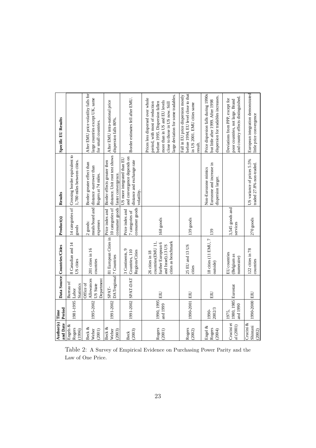| Author(s) Time<br>and Date         | Period                                   |                                                   | Data Source Countries/Cities                                                                           | Product(s)                                            | Results                                                                                              | <b>Specific EU Results</b>                                                                                                                                                                                      |
|------------------------------------|------------------------------------------|---------------------------------------------------|--------------------------------------------------------------------------------------------------------|-------------------------------------------------------|------------------------------------------------------------------------------------------------------|-----------------------------------------------------------------------------------------------------------------------------------------------------------------------------------------------------------------|
| Engels $\&$<br>Rogers<br>(1996)    | 1981-1995                                | Bureau of<br><b>Statistics</b><br>Labor           | 8 Canadian and 14<br>US cities                                                                         | 14 categories of<br>goods                             | Crossing border equivalent to<br>1,780 miles between cities.                                         |                                                                                                                                                                                                                 |
| Beck &<br>Weber<br>(2001)          | 1995-2002                                | Allowances<br>Department<br>Office of<br>US State | 201 cities in 16<br>countries                                                                          | meals/board and<br>expenses<br>2 goods:               | Border greater effect than<br>distance -narrower than<br>Rogers at 74 miles.                         | After EMU price volatility falls for<br>large countries except UK, same<br>for small countries.                                                                                                                 |
| Beck &<br>Weber<br>(2003)          | 1991-2002                                | DATregional 7 Countries<br>SPAT-                  | 81 European Cities in                                                                                  | consumer goods<br>10 categories of<br>Price index and | distance. Unit root test shows<br>Border effects greater then<br>faster convergence.                 | After EMU intra-national price<br>dispersion falls 80%.                                                                                                                                                         |
| (2003)<br><b>Beck</b>              |                                          | 1991-2002 SPAT-DAT                                | 3 Continents, 9<br>Countries, 110<br>Regions/Cities                                                    | consumer goods<br>Price index and<br>7 categories of  | and convergence depends on<br>US more integrated than EU<br>distance and exchange rate<br>volatility | Border estimates fell after EMU.                                                                                                                                                                                |
| Rogers<br>(2001)                   | 1990, 1995 $\vert_{\rm EIU}$<br>and 1999 |                                                   | cities as benchmark<br>countries(EMU 11,<br>further European 6<br>and Israel).13 US<br>26 cities in 18 | $168$ goods                                           |                                                                                                      | large deviation for some tradables.<br>Prices less dispersed over whole<br>more than in US and EU levels<br>period, with most of reduction<br>before 1995. Dispersion fallen<br>close to those in US now. Still |
| Rogers<br>(2002)                   | 1990-2001 EIU                            |                                                   | 25 EU and 13 US<br>cities                                                                              | 139 goods                                             |                                                                                                      | before 1994; EU level close to that<br>Fall in EU price dispersion mostly<br>in US 2001. EMU cities same<br>result.                                                                                             |
| Engel &<br>Rogers<br>(2004)        | 2002/3<br>1990-                          | EIU                                               | 18 cities (11 EMU, 7<br>outside)                                                                       | 139                                                   | Eurozone and increase in<br>Non-Eurozone mimics<br>dispersion larger.                                | Price dispersion falls during 1990s<br>dispersion for tradables increases.<br>but little after 1999. After 1998                                                                                                 |
| Crucini et<br>a(2001)              | 1980, 1985 Eurostat<br>and 1990<br>1975, |                                                   | EU countries<br>(Belgium as<br>numeraire)                                                              | 3,545 goods and<br>services                           |                                                                                                      | and country effects distinguished.<br>Deviations from PPP, except for<br>poor countries, not large. Brand                                                                                                       |
| Crucini $\&$<br>Shintani<br>(2002) | 1990-2000 EIU                            |                                                   | 122 cities in 78<br>countries                                                                          | 270 goods                                             | US variance of prices 5.5%<br>traded 27.8% non-traded.                                               | European integration demonstrated<br>little price convergence                                                                                                                                                   |

Table 2: A Survey of Empirical Evidence on Purchasing Power Parity and the Law of One Price.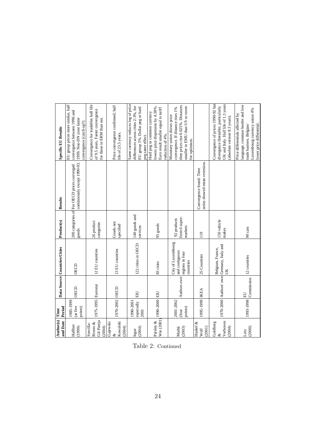| Author(s) Time<br>and Date                    | Period                           |                        | Data Source Countries/Cities                                         | Product(s)                              | Results                                                                                              | <b>Specific EU Results</b>                                                                                                                                  |
|-----------------------------------------------|----------------------------------|------------------------|----------------------------------------------------------------------|-----------------------------------------|------------------------------------------------------------------------------------------------------|-------------------------------------------------------------------------------------------------------------------------------------------------------------|
| Haffner<br>(1999)                             | 1985-1999<br>(at five<br>points) | <b>OECD</b>            | OECD                                                                 | $_{\rm goods}$                          | continuously except 1990-93. 1999. Non-DN zone faster<br>200 categories of For OECD prices converged | EU group prices more similar, half<br>convergence between 1996 and<br>convergence (catch-up?).                                                              |
| Gil-Pareja<br>Rivero &<br>Sosvilla-<br>(2004) | 1975-1995 Eurostat               |                        | 12 EU countries                                                      | 26 product<br>categories                |                                                                                                      | Convergence for tradables half life<br>of 9.5 years. Faster convergence<br>for those in ERM than out.                                                       |
| Kowalski<br>Gajewski<br>(2004)<br>Q,          | 1970-2002 OECD                   |                        | 13 EU countries                                                      | Goods not<br>specified                  |                                                                                                      | Price convergence confirmed; half<br>life of 23.5 years.                                                                                                    |
| (2004)<br>Isgut                               | especially<br>1990-2001<br>2001  | ПEI                    | 122 cities in OECD                                                   | 140 goods and<br>services               |                                                                                                      | Same currency reduces log of price<br>differences across cities 2-3%, for<br>EU group 5%. Dollar peg or hard<br>peg same effect.                            |
| Wie (2001)<br>Parsley &                       | 1990-2000 EIU                    |                        | 83 cities                                                            | 95 goods                                |                                                                                                      | lowers price dispersion by 4.38%.<br>Euro result smaller equal to tariff<br>Hard peg or common currency<br>reduction of 4%.                                 |
| Mathä<br>(2003)                               | 2001-2002<br>points)<br>(four    | Authors own            | City of Luxembourg<br>and contiguous<br>regions in four<br>countries | from 6 super-<br>92 products<br>markets |                                                                                                      | then prices rise 0.025%. Distances<br>smaller in EMU than US so room<br>convergence. If distance rises 1%<br>Monetary union shows price<br>for optimism.    |
| Haskel &<br>(2001)<br>Wolf                    | 1995-1998 IKEA                   |                        | 25 Countries                                                         | 119                                     | series showed mean reversion.<br>Convergence found. Time                                             |                                                                                                                                                             |
| Verboven<br>Goldberg<br>(2004)<br>$\infty$    |                                  |                        | 1970-2000 Authors' own Germany, Italy and<br>Belgium, France,<br>ŬK  | 150 vehicle<br>makes                    |                                                                                                      | Convergence of prices 1990-92 but<br>UK and Italy. Half life of 1.3 years<br>divergence thereafter, particularly<br>(absolute version 8.3 years).           |
| (2000)<br>Lutz                                |                                  | $1993-1998$ Commission | 12 countries                                                         | 90 cars                                 |                                                                                                      | language, common border and low<br>Luxembourg currency union 4%<br>Price differentials affected by<br>lower price differential.<br>trade barriers. Belgian/ |

Table 2: Continued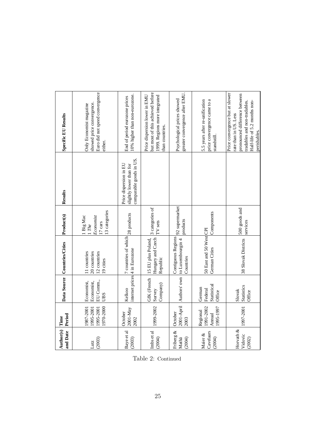| Author(s) Time<br>and Date       | Period                                           |                                              | Data Source Countries/Cities                                                 | Product(s)                                                    | Results                                                                      | <b>Specific EU Results</b>                                                                                                                                                |
|----------------------------------|--------------------------------------------------|----------------------------------------------|------------------------------------------------------------------------------|---------------------------------------------------------------|------------------------------------------------------------------------------|---------------------------------------------------------------------------------------------------------------------------------------------------------------------------|
| (2003)<br>Lutz                   | 1970-2000<br>1987-2001<br>1995-2001<br>1995-2001 | EU Comm.,<br>Economist,<br>Economist,<br>UBS | 20 countries<br>12 countries<br>11 countries<br>19 cities                    | 13 categories<br>Big Mac<br>Economist<br>$17$ cars<br>$1$ The |                                                                              | Euro did not speed convergence<br>showed price convergence.<br>Only Economist magazine<br>either.                                                                         |
| Baye et al<br>(2003)             | $2001-May$<br>October<br>2002                    | Kelkoo                                       | 7 countries of which 28 products<br>internet prices 4 in Eurozone            |                                                               | comparable goods in US.<br>Price dispersion in EU<br>slightly lower than for | 10% higher than non-eurozone.<br>End of period eurozone prices                                                                                                            |
| Imbs et al<br>(2004)             | 1999-2002                                        | GfK (French<br>Company)<br>Survey            | Hungary and Czech<br>15 EU plus Poland,<br>Republic                          | 3 categories of<br>TV sets                                    |                                                                              | but most of this achieved before<br>Price dispersion lower in EMU<br>1999. Regions more integrated<br>than countries.                                                     |
| Friberg &<br>(2004)<br>Mathä     | October<br>2003                                  |                                              | Contiguous Regions<br>2001-April Authors' own to Luxembourgin 4<br>Countries | 92 supermarket<br>products                                    |                                                                              | greater convergence after EMU.<br>Psychological prices showed                                                                                                             |
| Cavelaars<br>Maier &<br>(2004)   | 1991-2002<br>1995-1997<br>Regional<br>Annual     | Statistical<br>German<br>Federal<br>Office   | 50 East and 50 West CPI<br>German Cities                                     | Components                                                    |                                                                              | price convergence came to a<br>5.5 years after re-unification<br>standstill                                                                                               |
| Horvath $&$<br>Vidovic<br>(2002) | 1997-2001                                        | <b>Statistics</b><br>Slovak<br>Office        | 38 Slovak Districts                                                          | 500 goods and<br>services                                     |                                                                              | Price convergence but at slower<br>pronounced difference between<br>Half-life of 5.2 months non-<br>tradables and non-tradables.<br>rate than in US. Less<br>perishables. |

Table 2: Continued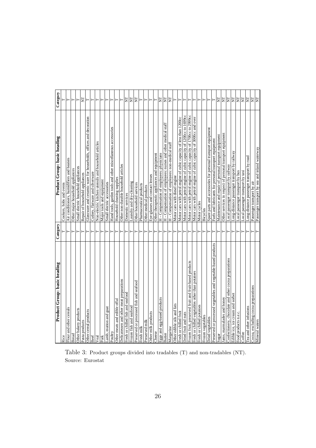| Product Group: basic heading                                   | Category | Product Group: basic heading                                        | Category                |
|----------------------------------------------------------------|----------|---------------------------------------------------------------------|-------------------------|
| Rice                                                           |          | Cookers, hobs and ovens                                             |                         |
| Flour and other cereals                                        | ⊢        | Air conditioners, humidifiers and heaters                           | Н                       |
| Bread                                                          | $\vdash$ | Other major household appliances                                    |                         |
| Other bakery products                                          | ⊢        | Small electric household appliances                                 |                         |
| Pasta products                                                 | $\vdash$ | Repair of household appliances                                      | E                       |
| Other cereal products                                          | $\vdash$ | Glassware and ceramic ware for households, offices and decoration   | $\vdash$                |
| Beef                                                           | $\vdash$ | Cutlery, flatware and silverware                                    |                         |
| Veal                                                           | $\vdash$ | Non-electric kitchen utensils and household articles                | Е                       |
| Pork                                                           | $\vdash$ | Major tools and equipment                                           |                         |
| amb, mutton and goat                                           | $\vdash$ | Small electric accessories                                          | $\vdash$                |
| Poultry                                                        | $\vdash$ | Hand tools, garden tools and other miscellaneous accessories        | $\vdash$                |
| Other meats and edible offal                                   | $\vdash$ | Household cleaning supplies                                         | Н                       |
| Oelicatessen and other meat preparations                       | ⊢        | Other non-durable household articles                                | ۲                       |
| Fresh or chilled fish and seafood                              | $\vdash$ | Domestic services                                                   | E                       |
| Frozen fish and seafood                                        | ⊢        | Laundry and dry-cleaning                                            | E                       |
| Preserved or processed fish and seafood                        | $\vdash$ | Other household services                                            | $\overline{\mathsf{z}}$ |
| resh milk                                                      | $\vdash$ | Pharmaceutical products                                             | $\vdash$                |
| Preserved milk                                                 | $\vdash$ | Other medical products                                              | $\vdash$                |
| Other milk products                                            | $\vdash$ | Eye-glasses and contact lenses                                      | ⊢                       |
| <b>Cheese</b>                                                  | ⊢        | Other therapeutic appliances and equipment                          |                         |
| iggs and egg-based products                                    | $\vdash$ | H - Compensation of employees: physicians                           | E                       |
| <b>Butter</b>                                                  | $\vdash$ | H - Compensation of employees: nurses and other medical staff       | E                       |
| Margarine                                                      | ⊢        | H - Compensation of employees: non-medical staff                    | E                       |
| Other edible oils and fats                                     | ⊢        | Motor cars with diesel engine                                       |                         |
| resh or chilled fruit                                          | $\vdash$ | Motor cars with petrol engine of cubic capacity of less than 1200cc | $\vdash$                |
| Oried fruit and nuts                                           | ⊢        | Motor cars with petrol engine of cubic capacity of 1200cc to 1699cc |                         |
| Frozen fruit, preserved fruit and fruit-based products         | ⊢        | Motor cars with petrol engine of cubic capacity of 1700cc to 2999cc |                         |
| Fresh or chilled vegetables other than potatoes                | $\vdash$ | Motor cars with petrol engine of cubic capacity of 3000cc and over  |                         |
| resh or chilled potatoes                                       | Н        | Motor cycles                                                        |                         |
| rozen vegetables                                               | $\vdash$ | Bicycles                                                            |                         |
| <b>Dried</b> vegetables                                        | Н        | Spare parts and accessories for personal transport equipment        |                         |
| Preserved or processed vegetables and vegetable-based products | $\vdash$ | Fuels and lubricants for personal transport equipment               |                         |
| Sugar                                                          | $\vdash$ | Maintenance and repair of personal transport equipment              | E                       |
| ams, marmalades and honey                                      | ⊢        | Other services in respect of personal transport equipment           | ξ                       |
| Confectionery, chocolate and other cocoa preparations          | Н        | Local passenger transport by railway                                | E                       |
| Edible ice, ice cream and sorbet                               | $\vdash$ | Long-distance passenger transport by railway                        | E                       |
| ood products n.e.c.                                            | Н        | ocal passenger transport by bus                                     | E                       |
| Coffee                                                         | ⊢        | Local passenger transport by taxi                                   | E                       |
| ea and other infusions                                         | ⊢        | Long-distance passenger transport by road                           | E                       |
| Cocoa, excluding cocoa preparations                            | $\vdash$ | Passenger transport by air                                          | E                       |
| Mineral waters                                                 | Е        | Passenger transport by sea and inland waterway                      | E                       |

Table 3: Product groups divided into tradables (T) and non-tradables (NT). Source: Eurostat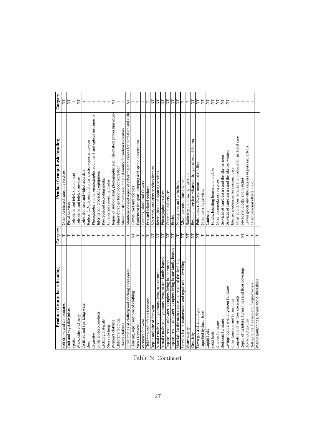| Product Group: basic heading                                   | Category    | Product Group: basic heading                                              | Category |
|----------------------------------------------------------------|-------------|---------------------------------------------------------------------------|----------|
| Soft drinks and concentrates                                   |             | Other purchased transport services                                        | E        |
| Fruit and vegetable juices                                     |             | Postal services                                                           | E        |
| Spirits                                                        | ⊢           | Telephone and telefax equipment                                           | Н        |
| Wine, cider and perry                                          | ⊢           | Telephone and telefax services                                            | E        |
| Fortified and sparkling wine                                   | $\vdash$    | Television sets and video recorders                                       | ۲        |
| Beer                                                           | $\vdash$    | Radios, CD-players and other electro-acoustic devices                     | $\vdash$ |
| Cigarettes                                                     | ⊢           | Photographic and cinematographic equipment and optical instruments        | ۲        |
| Other tobacco products                                         | ⊢           | Information processing equipment                                          | н        |
| Clothing materials                                             | Н           | Pre-recorded recording media                                              | ۳        |
| Men's clothing                                                 | ⊢           | Unrecorded recording media                                                | ۲        |
| Women's clothing                                               | ⊢           | Repair of audio-visual, photographic and information processing equip-    | Ę        |
| Children's clothing                                            | ⊢           | Major durables for outdoor recreation                                     | Н        |
| Infant's clothing                                              | ⊢           | Musical instruments and major durables for indoor recreation              | ⊢        |
| Other articles of clothing and clothing accessories            | Н           | Maintenance and repair of other major durables for recreation and culture | E        |
| Cleaning, repair and hire of clothing                          | E           | Games, toys and hobbies                                                   | ⊢        |
| Men's footwear                                                 | ⊢           | Equipment for sport, camping and open-air recreation                      | ⊢        |
| Women's footwear                                               | ⊢           | Gardens, plants and flowers                                               | ⊢        |
| Children's and infant's footwear                               | Н           | Pets and related products                                                 | Н        |
| Repair and hire of footwear                                    | $\Sigma$    | Veterinary and other services for pets                                    | E        |
| Actual rentals paid by tenants living in apartments            | $\Sigma$    | Recreational and sporting services                                        | E        |
| Actual rentals paid by tenants living in one-family houses     | EE          | Photographic services                                                     | E        |
| Imputed rentals of owner-occupiers living in apartments        |             | Other cultural services                                                   | E        |
| Imputed rentals of owner-occupiers living in one-family houses | E           | <b>Books</b>                                                              | Ĕ        |
| Materials for the maintenance and repair of the dwelling       | $\vdash$    | Newspapers and periodicals                                                | Ę        |
| Services for the maintenance and repair of the dwelling        | E           | Miscellaneous printed matter                                              | Η        |
| Water supply                                                   | $\mathbb H$ | Stationery and drawing materials                                          | Н        |
| Electricity                                                    | E           | Restaurant services whatever the type of establishment                    | E        |
| Town gas and natural gas                                       | E           | Pubs, bars, cafés, tea rooms and the like                                 | E        |
| Liquefied hydrocarbons                                         | ⊢           | Other catering services                                                   | E        |
| Liquid fuels                                                   | $\vdash$    | Canteens                                                                  | ΙĒ       |
| Solid fuels                                                    | $\vdash$    | Hotels, boarding houses and the like                                      | E        |
| Kitchen furniture                                              | ⊢           | Other accomodation services                                               | E        |
| Bedroom furniture                                              | $\vdash$    | Services of hairdressers and the like for men                             | E        |
| Living-room and dining-room furniture                          | $\vdash$    | Services of hairdressers and the like for women                           | E        |
| Other furniture and furnishings                                | ⊢           | Electric appliances for personal care                                     | ⊢        |
| Carpets and other floor coverings                              | ⊢           | Other appliances, articles and products for personal care                 | ⊢        |
| Repair of furniture, furnishings and floor coverings           | E           | Jewellery, clocks and watches                                             | ۲        |
| Household textiles                                             |             | Travel goods and other carriers of personal effects                       | F        |
| Refrigerators, freezers and fridge-freezers                    |             | Other personal effects n.e.c.                                             |          |
| Washing-machines, dryers and dishwashers                       |             |                                                                           |          |

Table 3: Continued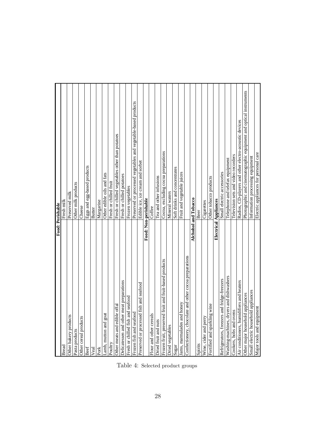|                                                        | Food: Perishable                                                   |
|--------------------------------------------------------|--------------------------------------------------------------------|
| <b>Bread</b>                                           | Fresh milk                                                         |
| Other bakery products                                  | Preserved milk                                                     |
| Pasta products                                         | Other milk products                                                |
| Other cereal products                                  | Cheese                                                             |
| Beef                                                   | Eggs and egg-based products                                        |
| Veal                                                   | Butter                                                             |
| Pork                                                   | Margarine                                                          |
| Lamb, mutton and goat                                  | Other edible oils and fats                                         |
| Poultry                                                | Fresh or chilled fruit                                             |
| Other meats and edible offal                           | Fresh or chilled vegetables other than potatoes                    |
| Delicatessen and other meat preparations               | Fresh or chilled potatoes                                          |
| Fresh or chilled fish and seafood                      | Frozen vegetables                                                  |
| Frozen fish and seafood                                | Preserved or processed vegetables and vegetable-based products     |
| Preserved or processed fish and seafood                | Edible ice, ice cream and sorbet                                   |
|                                                        | Food: Non-perishable                                               |
| Flour and other cereals                                | Coffee                                                             |
| Dried fruit and nuts                                   | Tea and other infusions                                            |
| Frozen fruit, preserved fruit and fruit-based products | Cocoa, excluding cocoa preparations                                |
| Dried vegetables                                       | Mineral waters                                                     |
| Sugar                                                  | Soft drinks and concentrates                                       |
| Jams, marmalades and honey                             | Fruit and vegetable juices                                         |
| Confectionery, chocolate and other cocoa preparations  |                                                                    |
|                                                        | Alchohol and Tobacco                                               |
| Spirits                                                | Beer                                                               |
| Wine, cider and perry                                  | Cigarettes                                                         |
| Fortified and sparkling wine                           | Other tobacco products                                             |
|                                                        | Electrical Appliances                                              |
| Refrigerators, freezers and fridge-freezers            | Small electric accessories                                         |
| Washing-machines, dryers and dishwashers               | Telephone and telefax equipment                                    |
| Cookers, hobs and ovens                                | Television sets and video recorders                                |
| Air conditioners, humidifiers and heaters              | Radios, CD-players and other electro-acoustic devices              |
| Other major household appliances                       | Photographic and cinematographic equipment and optical instruments |
| Small electric household appliances                    | Information processing equipment                                   |
| Major tools and equipment                              | Electric appliances for personal care                              |

Table 4: Selected product groups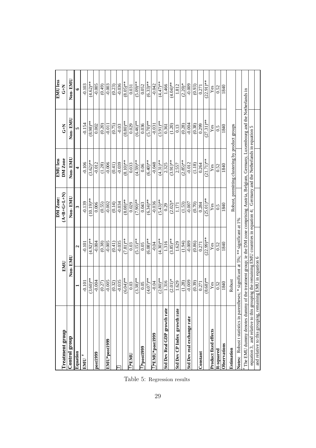|                                                                                                                                            |             |              | DM Zone:                                                                                        | <b>EMU</b> less                                 |              | <b>EMU</b> less |
|--------------------------------------------------------------------------------------------------------------------------------------------|-------------|--------------|-------------------------------------------------------------------------------------------------|-------------------------------------------------|--------------|-----------------|
| <b>Treatment</b> group                                                                                                                     | EMU         |              | $(A+B+G+L+N)$                                                                                   | DM Zone                                         | $rac{7}{5}$  | $rac{7}{5}$     |
| Control group                                                                                                                              | Non-EMU     |              | Non-EMU                                                                                         | Non-EMU                                         | Non-EMU      | Non-EMU         |
| Equation                                                                                                                                   |             | ٦            |                                                                                                 |                                                 |              |                 |
| ŧ<br>EMU                                                                                                                                   | $-0.101$    | $-0.101$     | $-0.139$                                                                                        | $-0.106$                                        | $-0.154$     | $-0.103$        |
|                                                                                                                                            | $(3.60)$ ** | $(4.92)**$   | $(10.19)$ **                                                                                    | $(3.62)$ **                                     | $(8.98)$ **  | $(4.62)$ **     |
| post1999                                                                                                                                   | $-0.004$    | $-0.004$     | 0.006                                                                                           | $-0.012$                                        | 0.002        | $-0.005$        |
|                                                                                                                                            | (0.27)      | (0.38)       | (0.55)                                                                                          | (1.28)                                          | $(0.20)$     | (0.49)          |
| EMU*post1999                                                                                                                               | $-0.005$    | $-0.005$     | $-0.002$                                                                                        | $-0.006$                                        | $-0.011$     | $-0.003$        |
|                                                                                                                                            | (0.32)      | (0.41)       | (0.14)                                                                                          | (0.41)                                          | (0.75)       | (0.23)          |
| A                                                                                                                                          | $-0.035$    | $-0.035$     | $-0.034$                                                                                        | $-0.039$                                        | $-0.03$      | $-0.036$        |
|                                                                                                                                            | $(6.04)$ ** | $(7.81)$ **  | $(8.08)$ **                                                                                     | $(8.10)**$                                      | $(8.80)*$    | $(8.05)$ **     |
| $7*$ EMU                                                                                                                                   | 0.03        | 0.03         | 0.029                                                                                           | 0.033                                           | 0.029        | 0.031           |
|                                                                                                                                            | $(3.38)$ ** | $(5.15)$ **  | $(7.90)**$                                                                                      | $(4.59)$ **                                     | $(6.46)$ **  | $(5.09)$ **     |
| $666$ [ $380$ d $\frac{1}{4}$ $\frac{7}{2}$                                                                                                | 0.05        | 0.05         | 0.043                                                                                           | 0.06                                            | 0.036        | 0.052           |
|                                                                                                                                            | $(4.07)$ ** | $(6.08)$ **  | $(6.34)$ **                                                                                     | $(6.40)$ **                                     | $(5.70)$ **  | $(6.33)**$      |
| 7*EMU*post1999                                                                                                                             | $-0.04$     | $-0.04$      | $-0.036$                                                                                        | $-0.048$                                        | $-0.031$     | $-0.042$        |
|                                                                                                                                            | $(2.80)**$  | $(4.30)**$   | $(5.43)$ **                                                                                     | $(4.31)$ **                                     | $(3.91)$ **  | $(4.47)$ **     |
| Std Dev Real GDP growth rate                                                                                                               | 1.316       | 1.316        | 0.29                                                                                            | 2.325                                           | 0.361        | 1.466           |
|                                                                                                                                            | $(2.01)*$   | $(3.85)$ **  | $(2.02)*$                                                                                       | $(3.91)$ **                                     | (1.20)       | $(4.04)$ **     |
| Std Dev CP Index growth rate                                                                                                               | 1.629       | 1.629        | 1.171                                                                                           | 2.557                                           | 0.13         | 1.812           |
|                                                                                                                                            | (1.28)      | (1.94)       | (1.53)                                                                                          | $(2.85)$ **                                     | (0.28)       | $(2.20)*$       |
| Std Dev real exchange rate                                                                                                                 | $-0.009$    | $-0.009$     | $-0.007$                                                                                        | $-0.012$                                        | $-0.004$     | $-0.009$        |
|                                                                                                                                            | (0.39)      | (0.86)       | (0.70)                                                                                          | (1.18)                                          | (0.38)       | (0.93)          |
| Constant                                                                                                                                   | 0.271       | 0.271        | 0.284                                                                                           | 0.264                                           | 0.299        | 0.271           |
|                                                                                                                                            | $(8.68)$ ** | $(22.99)$ ** | $(25.01)$ **                                                                                    | $(21.71)$ **                                    | $(27.31)$ ** | $(22.91)$ **    |
| <b>Product fixed effects</b>                                                                                                               | Yes         | Yes          | Yes                                                                                             | Yes                                             | Yes          | Yes             |
| R-squared                                                                                                                                  | 0.52        | 0.52         | 0.5                                                                                             | 0.52                                            | 0.5          | 0.52            |
| Observations                                                                                                                               | 1840        | 1840         | 1840                                                                                            | 1840                                            | 1840         | 1840            |
| Estimation                                                                                                                                 | Robust      |              |                                                                                                 | Robust, premitting clustering by product groups |              |                 |
| Notes: Robust t statistics in parentheses; * significant at 5%; *** significant at 1%                                                      |             |              |                                                                                                 |                                                 |              |                 |
| The EMU dummy denotes dummy of the treatment group; ie the DM zone comprising Austria, Belgium, Germany, Luxembourg and the Netherlands in |             |              |                                                                                                 |                                                 |              |                 |
| equation 3, and relative to thi                                                                                                            |             |              | s grouping the remaining EMU countries in equation 4; Germany and the Netherlands in equation 5 |                                                 |              |                 |
| and relative to this grouping, remaining EMU in equation 6                                                                                 |             |              |                                                                                                 |                                                 |              |                 |

Table 5: Regression results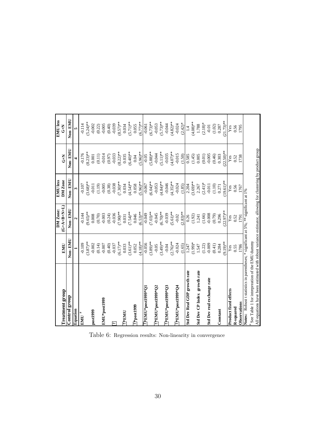|                                                                                                            |             | DM Zone:              | <b>EMU</b> less |              | <b>EMU</b> less |
|------------------------------------------------------------------------------------------------------------|-------------|-----------------------|-----------------|--------------|-----------------|
| Treatment group                                                                                            | EMU         | $(G + A + B + N + L)$ | DM Zone         | $\tilde{t}$  | $\tilde{t}$     |
| Control group                                                                                              | Non-EMU     | Non-EMU               | Non-EMU         | Non-EMU      | Non-EMU         |
| Equation                                                                                                   |             | $\mathbf{\hat{z}}$    |                 | 4            |                 |
| $EMU$ #                                                                                                    | $-0.109$    | $-0.144$              | $-0.107$        | -0.176       | $-0.114$        |
|                                                                                                            | $(3.87)$ ** | $(9.65)***$           | $(3.68)$ **     | $(8.23)$ **  | $(5.24)$ **     |
| post1999                                                                                                   | $-0.002$    | 0.008                 | $-0.011$        | 0.001        | $-0.002$        |
|                                                                                                            | (0.14)      | (0.70)                | (1.19)          | $(0.11)$     | (0.22)          |
| EMU*post1999                                                                                               | $-0.007$    | $-0.003$              | $-0.005$        | $-0.014$     | $-0.005$        |
|                                                                                                            | (0.40)      | (0.24)                | (0.38)          | (0.97)       | (0.40)          |
| ╔                                                                                                          | $-0.037$    | $-0.036$              | $-0.038$        | $-0.033$     | $-0.039$        |
|                                                                                                            | $(6.17)$ ** | $(7.90)$ **           | $(7.30)$ **     | $(8.22)$ **  | $(8.57)$ **     |
| $1$ M $\rm H_{\rm A}$                                                                                      | 0.033       | 0.031                 | 0.034           | 0.035        | 0.034           |
|                                                                                                            | $(3.61)$ ** | $(7.54)$ **           | $(4.54)$ **     | $(6.40)$ **  | $(5.71)$ **     |
| $\overline{\mathcal{I}}^*$ post1999                                                                        | 0.052       | 0.046                 | 0.058           | 0.04         | 0.055           |
|                                                                                                            | $(4.18)$ ** | $(6.53)$ **           | 5.96)**         | 5.96)**      | $(6.77)**$      |
| $\overline{10} * \overline{\text{EMUS}}$ and $\overline{100} * \overline{\text{OMUS}}$                     | $-0.056$    | $-0.049$              | $-0.067$        | $-0.05$      | $-0.061$        |
|                                                                                                            | $(3.89)$ ** | $(7.03)$ **           | $(6.04)$ **     | $(5.88)$ **  | $(6.73)$ **     |
| $\overline{z}$ k $\rm EMU^*$ post1999* $\rm Q$ 2                                                           | $-0.05$     | $-0.045$              | $-0.053$        | $-0.044$     | $-0.053$        |
|                                                                                                            | $(3.49)$ ** | $6.70$ )**            | $(4.84)$ **     | 5.11)**      | $(5.73)$ **     |
| $\overline{\tau}$ *EMU*post1999*Q3                                                                         | $-0.04$     | $-0.039$              | $-0.046$        | $-0.035$     | $-0.044$        |
|                                                                                                            | $(2.76)$ ** | $(5.61)$ **           | $(4.35)$ **     | $(4.07)$ **  | $(4.82)$ **     |
| $\overline{\tau}$ *EMU* <code>post1999</code> * $\rm O$ 4                                                  | $-0.024$    | $-0.02$               | $-0.024$        | $-0.015$     | $-0.024$        |
|                                                                                                            | (1.65)      | $(2.83)$ **           | (1.85)          | (1.50)       | $(2.42)*$       |
| Std Dev Real GDP growth rate                                                                               | 1.247       | 0.26                  | 2.204           | 0.585        | $\vec{=}$       |
|                                                                                                            | $(1.99)*$   | (1.92)                | $3.69)***$      | (1.45)       | $(4.08)$ **     |
| Std Dev CP Index growth rate                                                                               | 1.547       | 1.241                 | 2.267           | 0.005        | 1.788           |
|                                                                                                            | (1.22)      | (1.66)                | $(2.41)*$       | (0.01)       | $(2.18)*$       |
| Std Dev real exchange rate                                                                                 | $-0.009$    | $-0.008$              | $-0.011$        | $-0.005$     | $-0.01$         |
|                                                                                                            | (0.41)      | (0.79)                | (1.10)          | (0.46)       | $(1.02)$        |
| Constant                                                                                                   | 0.284       | 0.296                 | 0.271           | 0.303        | 0.287           |
|                                                                                                            | 9.19)**     | $22.97***$            | $(19.61)$ **    | $(22.50)$ ** | $(21.73)$ **    |
| Product fixed effects                                                                                      | Yes         | Yes                   | Yes             | Yes          | Yes             |
| R-squared                                                                                                  | 0.55        | 0.52                  | 0.56            | 0.52         | 0.56            |
| Observations                                                                                               | 1786        | 1791                  | 1767            | 1738         | 1795            |
| Notes: Robust t statistics in parentheses; * significant at 5%; ** significant at 1%                       |             |                       |                 |              |                 |
| # See Table 1 for intrepreation of the EMU dummy                                                           |             |                       |                 |              |                 |
| All equations have been estimated with robust variance estimator, allowing for clustering by product group |             |                       |                 |              |                 |
|                                                                                                            |             |                       |                 |              |                 |

Table 6: Regression results: Non-linearity in convergence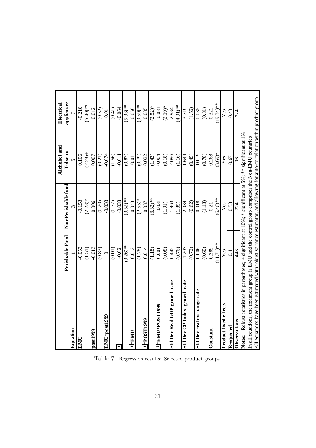|                                                                                                                          |                 |                     | Alchohol and | Electrical   |
|--------------------------------------------------------------------------------------------------------------------------|-----------------|---------------------|--------------|--------------|
|                                                                                                                          | Perishable Food | Non-Perishable food | Tobacco      | appliances   |
| Equation                                                                                                                 |                 |                     | m            |              |
| <b>TIME</b>                                                                                                              | $-0.053$        | $-0.158$            | 0.106        | $-0.218$     |
|                                                                                                                          | (1.51)          | $(2.28)*$           | $(2.28) +$   | $(5.40)**$   |
| post1999                                                                                                                 | $-0.013$        | 0.006               | 0.007        | 0.012        |
|                                                                                                                          | (0.83)          | (0.20)              | (0.21)       | (0.52)       |
| EMU*post1999                                                                                                             | $\circ$         | $-0.038$            | $-0.074$     | 0.01         |
|                                                                                                                          | (0.01)          | (0.77)              | (1.56)       | (0.41)       |
| $\overline{5}$                                                                                                           | $-0.02$         | $-0.038$            | $-0.011$     | $-0.064$     |
|                                                                                                                          | $(3.26)$ **     | $(3.52)**$          | (0.87)       | $(5.33)$ **  |
| $\mathrm{IMF}*\overline{\mathcal{I}}$                                                                                    | 0.012           | 0.043               | 0.01         | 0.056        |
|                                                                                                                          | (1.28)          | $(2.55)*$           | (0.79)       | $(3.59)$ **  |
| <b>666LLSOd*_2</b>                                                                                                       | 0.014           | 0.037               | 0.022        | 0.085        |
|                                                                                                                          | (1.18)          | $(3.32)$ **         | (1.43)       | $(2.52)*$    |
| $\overline{c}$ *EMU*POST1999                                                                                             | 0.001           | $-0.031$            | 0.004        | $-0.081$     |
|                                                                                                                          | (0.08)          | $(1.91) +$          | (0.18)       | $(2.19)*$    |
| <b>Std Dev Real GDP growth rate</b>                                                                                      | 0.442           | 1.963               | 2.096        | 2.934        |
|                                                                                                                          | (0.76)          | $(1.85)$ +          | (1.16)       | $(4.01)$ **  |
| Std Dev CP Index growth rate                                                                                             | $-1.207$        | 2.034               | 1.644        | 3.719        |
|                                                                                                                          | (0.72)          | (0.62)              | (0.45)       | (1.56)       |
| Std Dev real exchange rate                                                                                               | 0.006           | 0.018               | $-0.019$     | 0.035        |
|                                                                                                                          | (0.60)          | (1.13)              | (0.78)       | (0.81)       |
| Constant                                                                                                                 | 0.289           | 0.21                | 0.268        | 0.322        |
|                                                                                                                          | $(11.71)$ **    | $(6.46)$ **         | $(3.69)*$    | $(19.34)$ ** |
| Product fixed effects                                                                                                    | $\mathbf{Yes}$  | Yes                 | Yes          | Yes          |
| <b>R-squared</b>                                                                                                         | 0.4             | 0.53                | 0.67         | 0.48         |
| Observations                                                                                                             | 448             | 224                 | 96           | 224          |
| Notes: Robust t statistics in parentheses; + significant at $10\%$ ; * significant at 5%; ** significant at 1%           |                 |                     |              |              |
| In all equations, the treatment group is EMU and the control group comprises the Non-EMU countries                       |                 |                     |              |              |
| All equations have been estimated with robust variance estimator, and allowing for auto-correlation within product group |                 |                     |              |              |

Table 7: Regression results: Selected product groups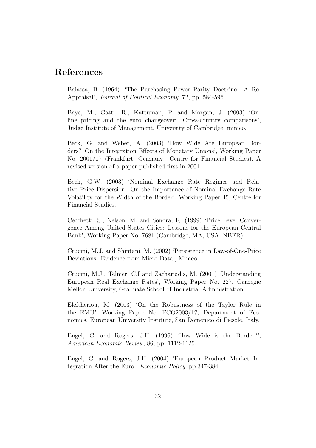## References

Balassa, B. (1964). 'The Purchasing Power Parity Doctrine: A Re-Appraisal', Journal of Political Economy, 72, pp. 584-596.

Baye, M., Gatti, R., Kattuman, P. and Morgan, J. (2003) 'Online pricing and the euro changeover: Cross-country comparisons', Judge Institute of Management, University of Cambridge, mimeo.

Beck, G. and Weber, A. (2003) 'How Wide Are European Borders? On the Integration Effects of Monetary Unions', Working Paper No. 2001/07 (Frankfurt, Germany: Centre for Financial Studies). A revised version of a paper published first in 2001.

Beck, G.W. (2003) 'Nominal Exchange Rate Regimes and Relative Price Dispersion: On the Importance of Nominal Exchange Rate Volatility for the Width of the Border', Working Paper 45, Centre for Financial Studies.

Cecchetti, S., Nelson, M. and Sonora, R. (1999) 'Price Level Convergence Among United States Cities: Lessons for the European Central Bank', Working Paper No. 7681 (Cambridge, MA, USA: NBER).

Crucini, M.J. and Shintani, M. (2002) 'Persistence in Law-of-One-Price Deviations: Evidence from Micro Data', Mimeo.

Crucini, M.J., Telmer, C.I and Zachariadis, M. (2001) 'Understanding European Real Exchange Rates', Working Paper No. 227, Carnegie Mellon University, Graduate School of Industrial Administration.

Eleftheriou, M. (2003) 'On the Robustness of the Taylor Rule in the EMU', Working Paper No. ECO2003/17, Department of Economics, European University Institute, San Domenico di Fiesole, Italy.

Engel, C. and Rogers, J.H. (1996) 'How Wide is the Border?', American Economic Review, 86, pp. 1112-1125.

Engel, C. and Rogers, J.H. (2004) 'European Product Market Integration After the Euro', Economic Policy, pp.347-384.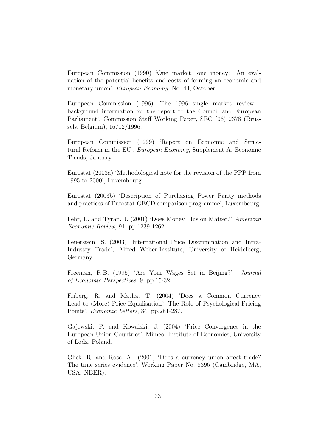European Commission (1990) 'One market, one money: An evaluation of the potential benefits and costs of forming an economic and monetary union', European Economy, No. 44, October.

European Commission (1996) 'The 1996 single market review background information for the report to the Council and European Parliament', Commission Staff Working Paper, SEC (96) 2378 (Brussels, Belgium), 16/12/1996.

European Commission (1999) 'Report on Economic and Structural Reform in the EU', European Economy, Supplement A, Economic Trends, January.

Eurostat (2003a) 'Methodological note for the revision of the PPP from 1995 to 2000', Luxembourg.

Eurostat (2003b) 'Description of Purchasing Power Parity methods and practices of Eurostat-OECD comparison programme', Luxembourg.

Fehr, E. and Tyran, J. (2001) 'Does Money Illusion Matter?' American Economic Review, 91, pp.1239-1262.

Feuerstein, S. (2003) 'International Price Discrimination and Intra-Industry Trade', Alfred Weber-Institute, University of Heidelberg, Germany.

Freeman, R.B. (1995) 'Are Your Wages Set in Beijing?' Journal of Economic Perspectives, 9, pp.15-32.

Friberg, R. and Mathä, T. (2004) 'Does a Common Currency Lead to (More) Price Equalisation? The Role of Psychological Pricing Points', Economic Letters, 84, pp.281-287.

Gajewski, P. and Kowalski, J. (2004) 'Price Convergence in the European Union Countries', Mimeo, Institute of Economics, University of Lodz, Poland.

Glick, R. and Rose, A., (2001) 'Does a currency union affect trade? The time series evidence', Working Paper No. 8396 (Cambridge, MA, USA: NBER).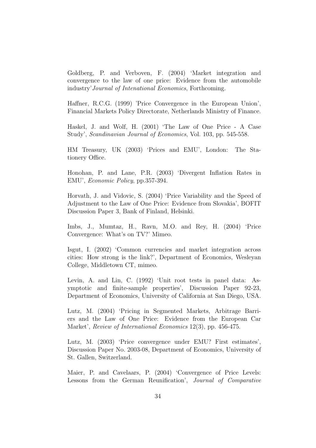Goldberg, P. and Verboven, F. (2004) 'Market integration and convergence to the law of one price: Evidence from the automobile industry'Journal of Intenational Economics, Forthcoming.

Haffner, R.C.G. (1999) 'Price Convergence in the European Union', Financial Markets Policy Directorate, Netherlands Ministry of Finance.

Haskel, J. and Wolf, H. (2001) 'The Law of One Price - A Case Study', Scandinavian Journal of Economics, Vol. 103, pp. 545-558.

HM Treasury, UK (2003) 'Prices and EMU', London: The Stationery Office.

Honohan, P. and Lane, P.R. (2003) 'Divergent Inflation Rates in EMU', Economic Policy, pp.357-394.

Horvath, J. and Vidovic, S. (2004) 'Price Variability and the Speed of Adjustment to the Law of One Price: Evidence from Slovakia', BOFIT Discussion Paper 3, Bank of Finland, Helsinki.

Imbs, J., Mumtaz, H., Ravn, M.O. and Rey, H. (2004) 'Price Convergence: What's on TV?' Mimeo.

Isgut, I. (2002) 'Common currencies and market integration across cities: How strong is the link?', Department of Economics, Wesleyan College, Middletown CT, mimeo.

Levin, A. and Lin, C. (1992) 'Unit root tests in panel data: Asymptotic and finite-sample properties', Discussion Paper 92-23, Department of Economics, University of California at San Diego, USA.

Lutz, M. (2004) 'Pricing in Segmented Markets, Arbitrage Barriers and the Law of One Price: Evidence from the European Car Market', Review of International Economics 12(3), pp. 456-475.

Lutz, M. (2003) 'Price convergence under EMU? First estimates', Discussion Paper No. 2003-08, Department of Economics, University of St. Gallen, Switzerland.

Maier, P. and Cavelaars, P. (2004) 'Convergence of Price Levels: Lessons from the German Reunification', Journal of Comparative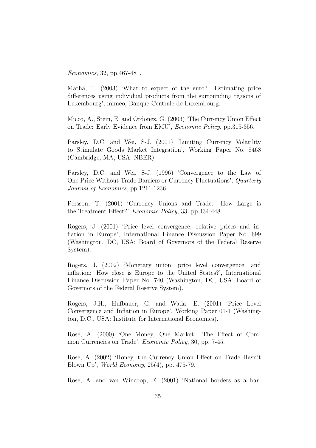Economics, 32, pp.467-481.

Mathä, T. (2003) 'What to expect of the euro? Estimating price differences using individual products from the surrounding regions of Luxembourg', mimeo, Banque Centrale de Luxembourg.

Micco, A., Stein, E. and Ordonez, G. (2003) 'The Currency Union Effect on Trade: Early Evidence from EMU', Economic Policy, pp.315-356.

Parsley, D.C. and Wei, S-J. (2001) 'Limiting Currency Volatility to Stimulate Goods Market Integration', Working Paper No. 8468 (Cambridge, MA, USA: NBER).

Parsley, D.C. and Wei, S-J. (1996) 'Convergence to the Law of One Price Without Trade Barriers or Currency Fluctuations', Quarterly Journal of Economics, pp.1211-1236.

Persson, T. (2001) 'Currency Unions and Trade: How Large is the Treatment Effect?' Economic Policy, 33, pp.434-448.

Rogers, J. (2001) 'Price level convergence, relative prices and inflation in Europe', International Finance Discussion Paper No. 699 (Washington, DC, USA: Board of Governors of the Federal Reserve System).

Rogers, J. (2002) 'Monetary union, price level convergence, and inflation: How close is Europe to the United States?', International Finance Discussion Paper No. 740 (Washington, DC, USA: Board of Governors of the Federal Reserve System).

Rogers, J.H., Hufbauer, G. and Wada, E. (2001) 'Price Level Convergence and Inflation in Europe', Working Paper 01-1 (Washington, D.C., USA: Institute for International Economics).

Rose, A. (2000) 'One Money, One Market: The Effect of Common Currencies on Trade', Economic Policy, 30, pp. 7-45.

Rose, A. (2002) 'Honey, the Currency Union Effect on Trade Hasn't Blown Up', World Economy, 25(4), pp. 475-79.

Rose, A. and van Wincoop, E. (2001) 'National borders as a bar-